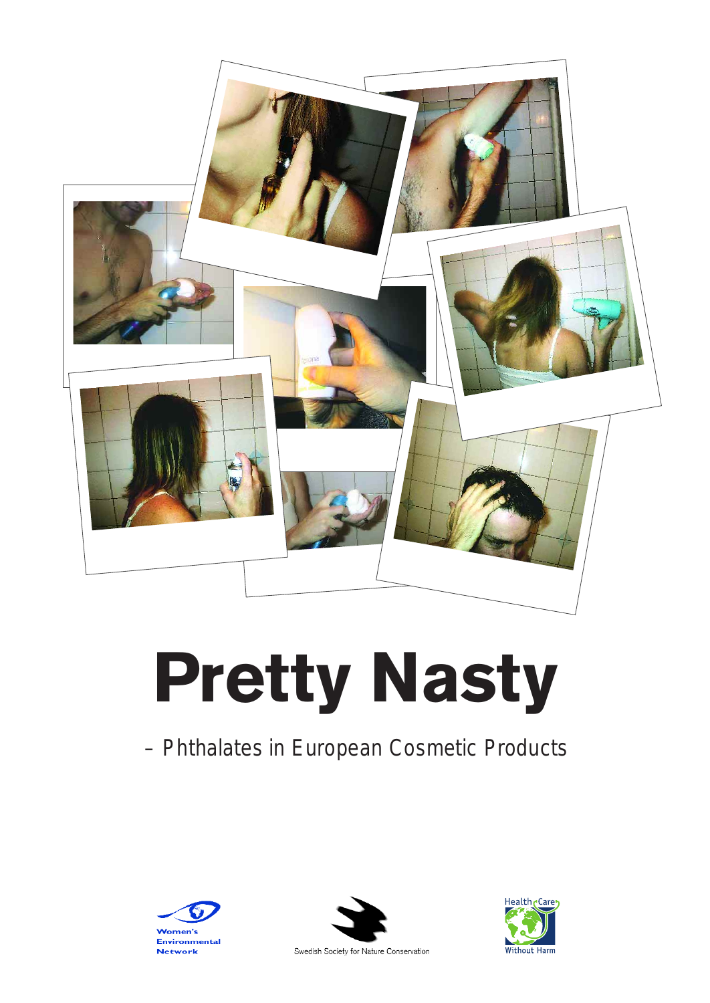

# **Pretty Nasty**

# – Phthalates in European Cosmetic Products





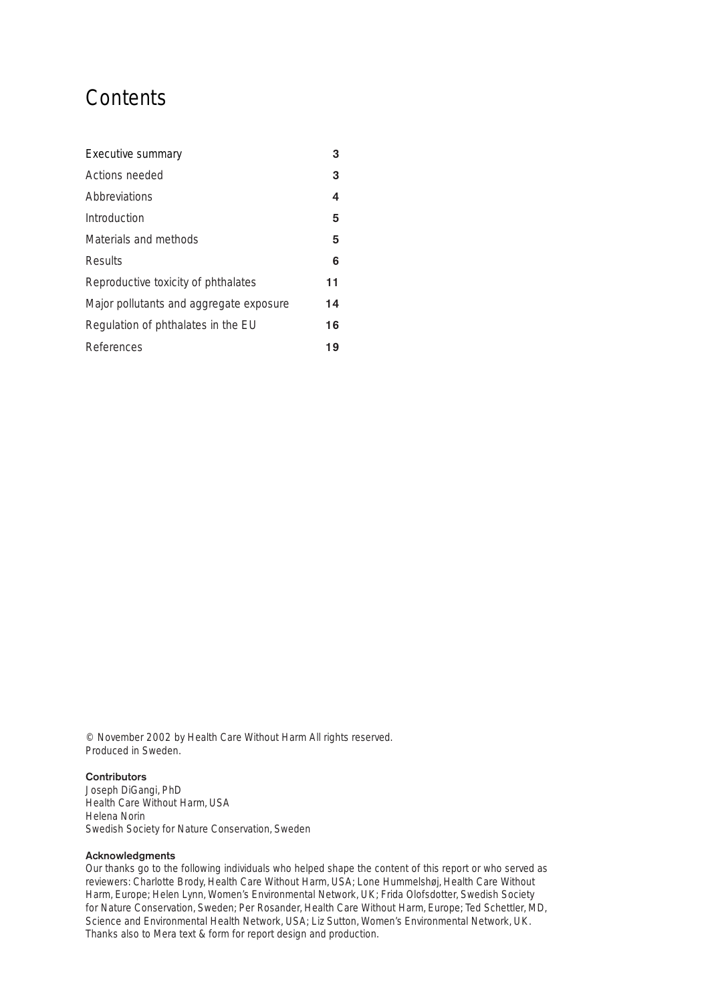# **Contents**

| Executive summary                       | 3  |
|-----------------------------------------|----|
| Actions needed                          | 3  |
| Abbreviations                           | 4  |
| Introduction                            | 5  |
| Materials and methods                   | 5  |
| Results                                 | 6  |
| Reproductive toxicity of phthalates     | 11 |
| Major pollutants and aggregate exposure | 14 |
| Regulation of phthalates in the EU      | 16 |
| References                              | 19 |

© November 2002 by Health Care Without Harm All rights reserved. Produced in Sweden.

#### **Contributors**

Joseph DiGangi, PhD Health Care Without Harm, USA Helena Norin Swedish Society for Nature Conservation, Sweden

#### **Acknowledgments**

Our thanks go to the following individuals who helped shape the content of this report or who served as reviewers: Charlotte Brody, Health Care Without Harm, USA; Lone Hummelshøj, Health Care Without Harm, Europe; Helen Lynn, Women's Environmental Network, UK; Frida Olofsdotter, Swedish Society for Nature Conservation, Sweden; Per Rosander, Health Care Without Harm, Europe; Ted Schettler, MD, Science and Environmental Health Network, USA; Liz Sutton, Women's Environmental Network, UK. Thanks also to Mera text & form for report design and production.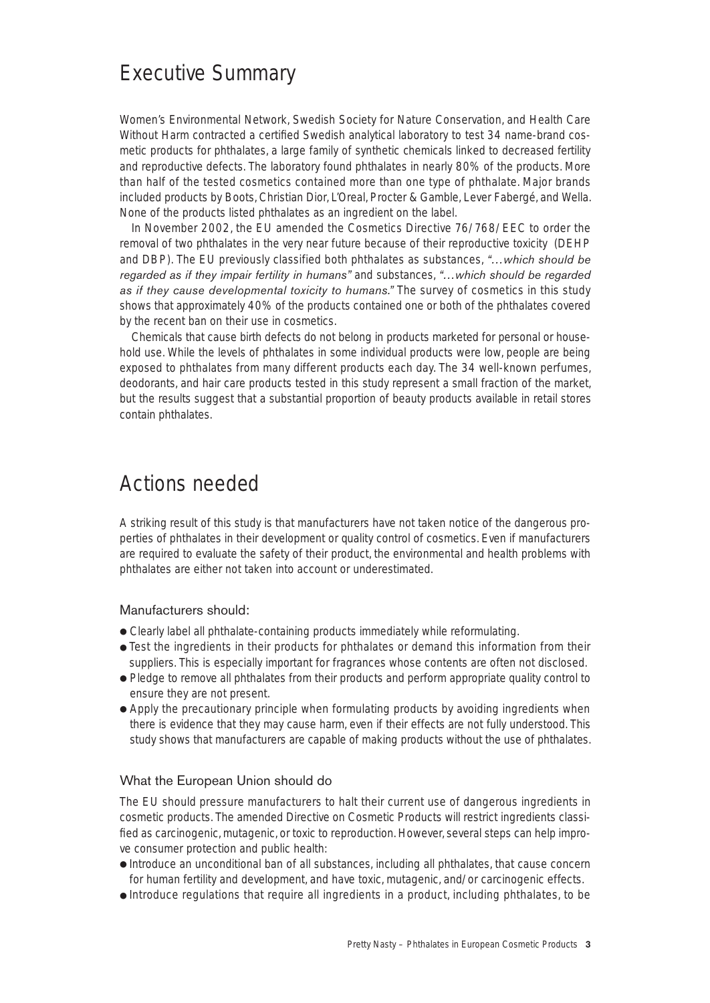# Executive Summary

Women's Environmental Network, Swedish Society for Nature Conservation, and Health Care Without Harm contracted a certified Swedish analytical laboratory to test 34 name-brand cosmetic products for phthalates, a large family of synthetic chemicals linked to decreased fertility and reproductive defects. The laboratory found phthalates in nearly 80% of the products. More than half of the tested cosmetics contained more than one type of phthalate. Major brands included products by Boots, Christian Dior, L'Oreal, Procter & Gamble, Lever Fabergé, and Wella. None of the products listed phthalates as an ingredient on the label.

In November 2002, the EU amended the Cosmetics Directive 76/768/EEC to order the removal of two phthalates in the very near future because of their reproductive toxicity (DEHP and DBP). The EU previously classified both phthalates as substances, *"…which should be regarded as if they impair fertility in humans"* and substances, *"…which should be regarded as if they cause developmental toxicity to humans."* The survey of cosmetics in this study shows that approximately 40% of the products contained one or both of the phthalates covered by the recent ban on their use in cosmetics.

Chemicals that cause birth defects do not belong in products marketed for personal or household use. While the levels of phthalates in some individual products were low, people are being exposed to phthalates from many different products each day. The 34 well-known perfumes, deodorants, and hair care products tested in this study represent a small fraction of the market, but the results suggest that a substantial proportion of beauty products available in retail stores contain phthalates.

# Actions needed

A striking result of this study is that manufacturers have not taken notice of the dangerous properties of phthalates in their development or quality control of cosmetics. Even if manufacturers are required to evaluate the safety of their product, the environmental and health problems with phthalates are either not taken into account or underestimated.

#### Manufacturers should:

- Clearly label all phthalate-containing products immediately while reformulating.
- Test the ingredients in their products for phthalates or demand this information from their suppliers. This is especially important for fragrances whose contents are often not disclosed.
- Pledge to remove all phthalates from their products and perform appropriate quality control to ensure they are not present.
- Apply the precautionary principle when formulating products by avoiding ingredients when there is evidence that they may cause harm, even if their effects are not fully understood. This study shows that manufacturers are capable of making products without the use of phthalates.

#### What the European Union should do

The EU should pressure manufacturers to halt their current use of dangerous ingredients in cosmetic products. The amended Directive on Cosmetic Products will restrict ingredients classified as carcinogenic, mutagenic, or toxic to reproduction. However, several steps can help improve consumer protection and public health:

- Introduce an unconditional ban of all substances, including all phthalates, that cause concern for human fertility and development, and have toxic, mutagenic, and/or carcinogenic effects.
- Introduce regulations that require all ingredients in a product, including phthalates, to be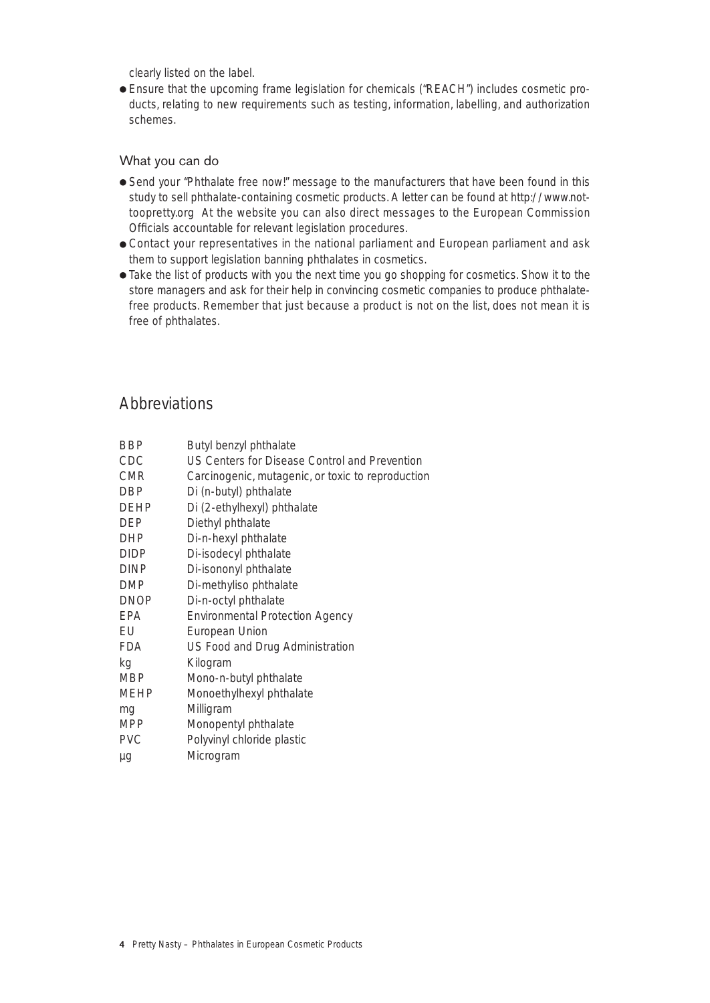clearly listed on the label.

● Ensure that the upcoming frame legislation for chemicals ("REACH") includes cosmetic products, relating to new requirements such as testing, information, labelling, and authorization schemes.

### What you can do

- Send your "Phthalate free now!" message to the manufacturers that have been found in this study to sell phthalate-containing cosmetic products. A letter can be found at http://www.nottoopretty.org At the website you can also direct messages to the European Commission Officials accountable for relevant legislation procedures.
- Contact your representatives in the national parliament and European parliament and ask them to support legislation banning phthalates in cosmetics.
- Take the list of products with you the next time you go shopping for cosmetics. Show it to the store managers and ask for their help in convincing cosmetic companies to produce phthalatefree products. Remember that just because a product is not on the list, does not mean it is free of phthalates.

# **Abbreviations**

| BBP         | Butyl benzyl phthalate                            |
|-------------|---------------------------------------------------|
| CDC         | US Centers for Disease Control and Prevention     |
| <b>CMR</b>  | Carcinogenic, mutagenic, or toxic to reproduction |
| DBP         | Di (n-butyl) phthalate                            |
| DEHP        | Di (2-ethylhexyl) phthalate                       |
| DEP         | Diethyl phthalate                                 |
| DHP         | Di-n-hexyl phthalate                              |
| <b>DIDP</b> | Di-isodecyl phthalate                             |
| <b>DINP</b> | Di-isononyl phthalate                             |
| <b>DMP</b>  | Di-methyliso phthalate                            |
| DNOP        | Di-n-octyl phthalate                              |
| <b>EPA</b>  | <b>Environmental Protection Agency</b>            |
| EU          | European Union                                    |
| FDA         | US Food and Drug Administration                   |
| kg          | Kilogram                                          |
| MBP         | Mono-n-butyl phthalate                            |
| MEHP        | Monoethylhexyl phthalate                          |
| mg          | Milligram                                         |
| <b>MPP</b>  | Monopentyl phthalate                              |
| <b>PVC</b>  | Polyvinyl chloride plastic                        |
| μg          | Microgram                                         |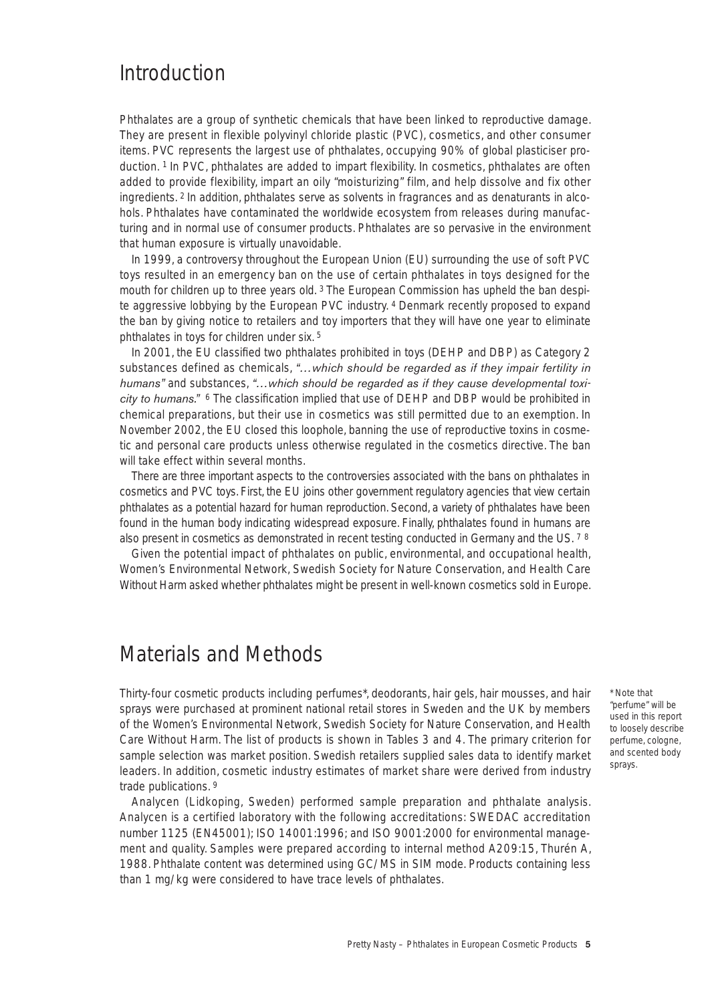# Introduction

Phthalates are a group of synthetic chemicals that have been linked to reproductive damage. They are present in flexible polyvinyl chloride plastic (PVC), cosmetics, and other consumer items. PVC represents the largest use of phthalates, occupying 90% of global plasticiser production. 1 In PVC, phthalates are added to impart flexibility. In cosmetics, phthalates are often added to provide flexibility, impart an oily "moisturizing" film, and help dissolve and fix other ingredients. <sup>2</sup> In addition, phthalates serve as solvents in fragrances and as denaturants in alcohols. Phthalates have contaminated the worldwide ecosystem from releases during manufacturing and in normal use of consumer products. Phthalates are so pervasive in the environment that human exposure is virtually unavoidable.

In 1999, a controversy throughout the European Union (EU) surrounding the use of soft PVC toys resulted in an emergency ban on the use of certain phthalates in toys designed for the mouth for children up to three years old. <sup>3</sup> The European Commission has upheld the ban despite aggressive lobbying by the European PVC industry. 4 Denmark recently proposed to expand the ban by giving notice to retailers and toy importers that they will have one year to eliminate phthalates in toys for children under six. 5

In 2001, the EU classified two phthalates prohibited in toys (DEHP and DBP) as Category 2 substances defined as chemicals, *"…which should be regarded as if they impair fertility in humans"* and substances, *"…which should be regarded as if they cause developmental toxicity to humans."* <sup>6</sup> The classification implied that use of DEHP and DBP would be prohibited in chemical preparations, but their use in cosmetics was still permitted due to an exemption. In November 2002, the EU closed this loophole, banning the use of reproductive toxins in cosmetic and personal care products unless otherwise regulated in the cosmetics directive. The ban will take effect within several months.

There are three important aspects to the controversies associated with the bans on phthalates in cosmetics and PVC toys. First, the EU joins other government regulatory agencies that view certain phthalates as a potential hazard for human reproduction. Second, a variety of phthalates have been found in the human body indicating widespread exposure. Finally, phthalates found in humans are also present in cosmetics as demonstrated in recent testing conducted in Germany and the US. 7 <sup>8</sup>

Given the potential impact of phthalates on public, environmental, and occupational health, Women's Environmental Network, Swedish Society for Nature Conservation, and Health Care Without Harm asked whether phthalates might be present in well-known cosmetics sold in Europe.

# Materials and Methods

Thirty-four cosmetic products including perfumes\*, deodorants, hair gels, hair mousses, and hair sprays were purchased at prominent national retail stores in Sweden and the UK by members of the Women's Environmental Network, Swedish Society for Nature Conservation, and Health Care Without Harm. The list of products is shown in Tables 3 and 4. The primary criterion for sample selection was market position. Swedish retailers supplied sales data to identify market leaders. In addition, cosmetic industry estimates of market share were derived from industry trade publications. 9

Analycen (Lidkoping, Sweden) performed sample preparation and phthalate analysis. Analycen is a certified laboratory with the following accreditations: SWEDAC accreditation number 1125 (EN45001); ISO 14001:1996; and ISO 9001:2000 for environmental management and quality. Samples were prepared according to internal method A209:15, Thurén A, 1988. Phthalate content was determined using GC/MS in SIM mode. Products containing less than 1 mg/kg were considered to have trace levels of phthalates.

\* Note that "perfume" will be used in this report to loosely describe perfume, cologne, and scented body sprays.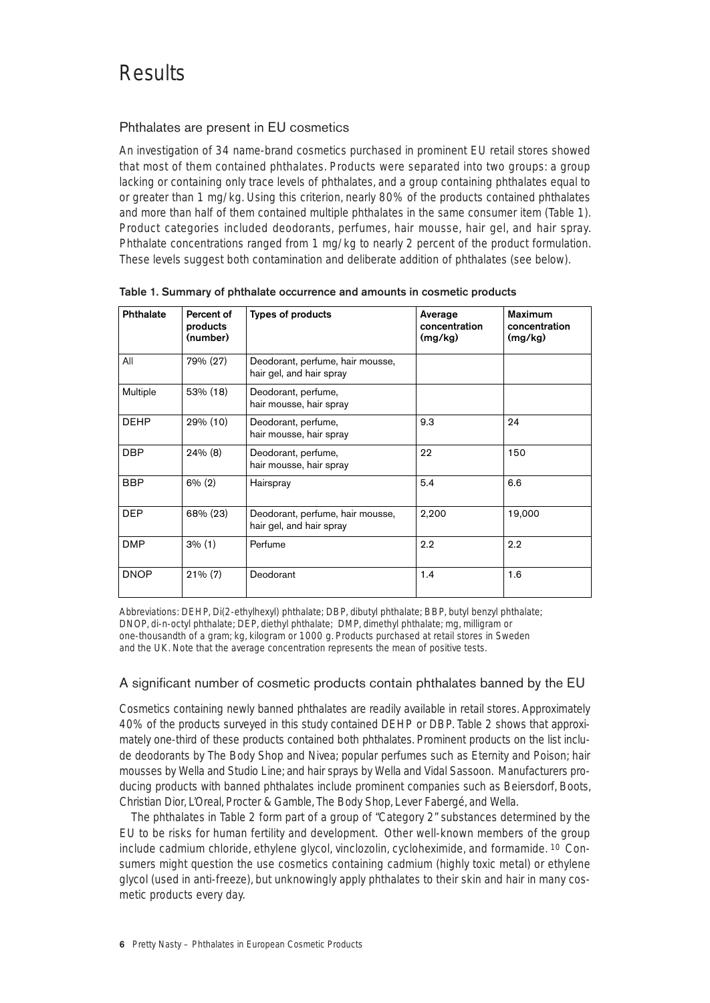# Results

# Phthalates are present in EU cosmetics

An investigation of 34 name-brand cosmetics purchased in prominent EU retail stores showed that most of them contained phthalates. Products were separated into two groups: a group lacking or containing only trace levels of phthalates, and a group containing phthalates equal to or greater than 1 mg/kg. Using this criterion, nearly 80% of the products contained phthalates and more than half of them contained multiple phthalates in the same consumer item (Table 1). Product categories included deodorants, perfumes, hair mousse, hair gel, and hair spray. Phthalate concentrations ranged from 1 mg/kg to nearly 2 percent of the product formulation. These levels suggest both contamination and deliberate addition of phthalates (see below).

| Phthalate   | Percent of<br>products<br>(number) | Types of products                                            | Average<br>concentration<br>(mg/kg) | Maximum<br>concentration<br>(mg/kg) |
|-------------|------------------------------------|--------------------------------------------------------------|-------------------------------------|-------------------------------------|
| All         | 79% (27)                           | Deodorant, perfume, hair mousse,<br>hair gel, and hair spray |                                     |                                     |
| Multiple    | 53% (18)                           | Deodorant, perfume,<br>hair mousse, hair spray               |                                     |                                     |
| <b>DEHP</b> | 29% (10)                           | Deodorant, perfume,<br>hair mousse, hair spray               | 9.3                                 | 24                                  |
| DBP         | $24\%$ (8)                         | Deodorant, perfume,<br>hair mousse, hair spray               | 22                                  | 150                                 |
| BBP         | $6\%$ (2)                          | Hairspray                                                    | 5.4                                 | 6.6                                 |
| DEP         | 68% (23)                           | Deodorant, perfume, hair mousse,<br>hair gel, and hair spray | 2,200                               | 19,000                              |
| <b>DMP</b>  | 3% (1)                             | Perfume                                                      | 2.2                                 | 2.2                                 |
| <b>DNOP</b> | $21\% (7)$                         | Deodorant                                                    | 1.4                                 | 1.6                                 |

**Table 1. Summary of phthalate occurrence and amounts in cosmetic products**

Abbreviations: DEHP, Di(2-ethylhexyl) phthalate; DBP, dibutyl phthalate; BBP, butyl benzyl phthalate; DNOP, di-n-octyl phthalate; DEP, diethyl phthalate; DMP, dimethyl phthalate; mg, milligram or one-thousandth of a gram; kg, kilogram or 1000 g. Products purchased at retail stores in Sweden and the UK. Note that the average concentration represents the mean of positive tests.

# A significant number of cosmetic products contain phthalates banned by the EU

Cosmetics containing newly banned phthalates are readily available in retail stores. Approximately 40% of the products surveyed in this study contained DEHP or DBP. Table 2 shows that approximately one-third of these products contained both phthalates. Prominent products on the list include deodorants by The Body Shop and Nivea; popular perfumes such as Eternity and Poison; hair mousses by Wella and Studio Line; and hair sprays by Wella and Vidal Sassoon. Manufacturers producing products with banned phthalates include prominent companies such as Beiersdorf, Boots, Christian Dior, L'Oreal, Procter & Gamble, The Body Shop, Lever Fabergé, and Wella.

The phthalates in Table 2 form part of a group of "Category 2" substances determined by the EU to be risks for human fertility and development. Other well-known members of the group include cadmium chloride, ethylene glycol, vinclozolin, cycloheximide, and formamide. 10 Consumers might question the use cosmetics containing cadmium (highly toxic metal) or ethylene glycol (used in anti-freeze), but unknowingly apply phthalates to their skin and hair in many cosmetic products every day.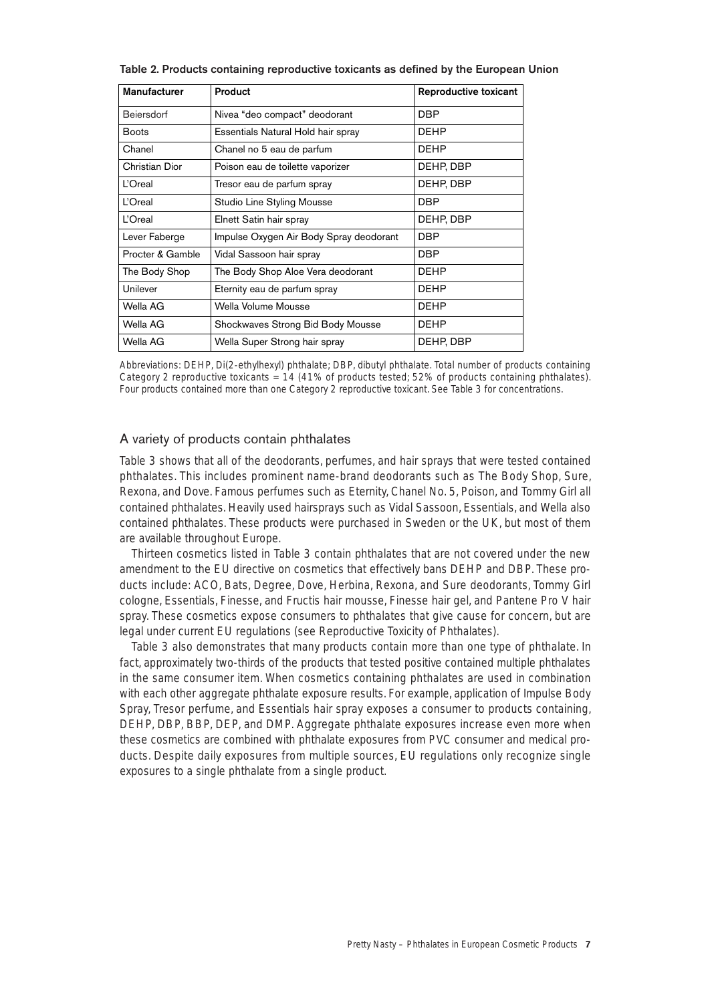| Manufacturer     | Product                                 | Reproductive toxicant |
|------------------|-----------------------------------------|-----------------------|
| Beiersdorf       | Nivea "deo compact" deodorant           | <b>DBP</b>            |
| <b>Boots</b>     | Essentials Natural Hold hair spray      | <b>DEHP</b>           |
| Chanel           | Chanel no 5 eau de parfum               | <b>DEHP</b>           |
| Christian Dior   | Poison eau de toilette vaporizer        | DEHP, DBP             |
| L'Oreal          | Tresor eau de parfum spray              | DEHP, DBP             |
| L'Oreal          | Studio Line Styling Mousse              | <b>DBP</b>            |
| <b>L'Oreal</b>   | Elnett Satin hair spray                 | DEHP, DBP             |
| Lever Faberge    | Impulse Oxygen Air Body Spray deodorant | <b>DBP</b>            |
| Procter & Gamble | Vidal Sassoon hair spray                | <b>DBP</b>            |
| The Body Shop    | The Body Shop Aloe Vera deodorant       | <b>DEHP</b>           |
| Unilever         | Eternity eau de parfum spray            | <b>DEHP</b>           |
| Wella AG         | Wella Volume Mousse                     | <b>DEHP</b>           |
| Wella AG         | Shockwaves Strong Bid Body Mousse       | <b>DEHP</b>           |
| Wella AG         | Wella Super Strong hair spray           | DEHP, DBP             |

**Table 2. Products containing reproductive toxicants as defined by the European Union**

Abbreviations: DEHP, Di(2-ethylhexyl) phthalate; DBP, dibutyl phthalate. Total number of products containing Category 2 reproductive toxicants = 14 (41% of products tested; 52% of products containing phthalates). Four products contained more than one Category 2 reproductive toxicant. See Table 3 for concentrations.

#### A variety of products contain phthalates

Table 3 shows that all of the deodorants, perfumes, and hair sprays that were tested contained phthalates. This includes prominent name-brand deodorants such as The Body Shop, Sure, Rexona, and Dove. Famous perfumes such as Eternity, Chanel No. 5, Poison, and Tommy Girl all contained phthalates. Heavily used hairsprays such as Vidal Sassoon, Essentials, and Wella also contained phthalates. These products were purchased in Sweden or the UK, but most of them are available throughout Europe.

Thirteen cosmetics listed in Table 3 contain phthalates that are not covered under the new amendment to the EU directive on cosmetics that effectively bans DEHP and DBP. These products include: ACO, Bats, Degree, Dove, Herbina, Rexona, and Sure deodorants, Tommy Girl cologne, Essentials, Finesse, and Fructis hair mousse, Finesse hair gel, and Pantene Pro V hair spray. These cosmetics expose consumers to phthalates that give cause for concern, but are legal under current EU regulations (see Reproductive Toxicity of Phthalates).

Table 3 also demonstrates that many products contain more than one type of phthalate. In fact, approximately two-thirds of the products that tested positive contained multiple phthalates in the same consumer item. When cosmetics containing phthalates are used in combination with each other aggregate phthalate exposure results. For example, application of Impulse Body Spray, Tresor perfume, and Essentials hair spray exposes a consumer to products containing, DEHP, DBP, BBP, DEP, and DMP. Aggregate phthalate exposures increase even more when these cosmetics are combined with phthalate exposures from PVC consumer and medical products. Despite daily exposures from multiple sources, EU regulations only recognize single exposures to a single phthalate from a single product.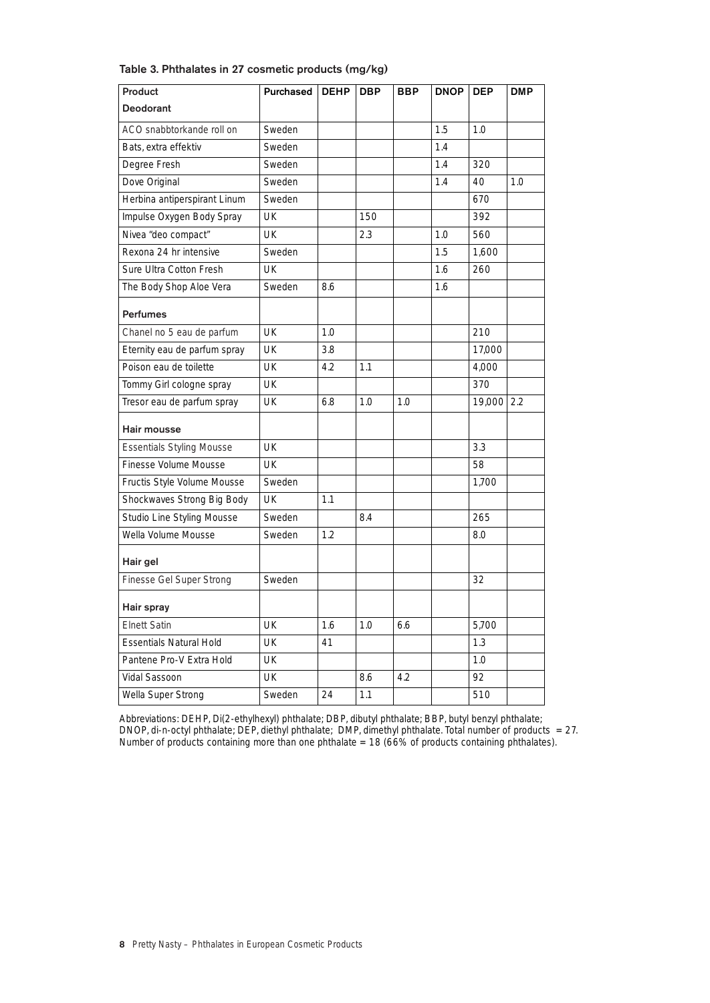| Product                          | Purchased | <b>DEHP</b> | <b>DBP</b> | BBP | <b>DNOP</b> | <b>DEP</b> | <b>DMP</b> |
|----------------------------------|-----------|-------------|------------|-----|-------------|------------|------------|
| <b>Deodorant</b>                 |           |             |            |     |             |            |            |
| ACO snabbtorkande roll on        | Sweden    |             |            |     | 1.5         | 1.0        |            |
| Bats, extra effektiv             | Sweden    |             |            |     | 1.4         |            |            |
| Degree Fresh                     | Sweden    |             |            |     | 1.4         | 320        |            |
| Dove Original                    | Sweden    |             |            |     | 1.4         | 40         | 1.0        |
| Herbina antiperspirant Linum     | Sweden    |             |            |     |             | 670        |            |
| Impulse Oxygen Body Spray        | UK        |             | 150        |     |             | 392        |            |
| Nivea "deo compact"              | UK        |             | 2.3        |     | 1.0         | 560        |            |
| Rexona 24 hr intensive           | Sweden    |             |            |     | 1.5         | 1,600      |            |
| Sure Ultra Cotton Fresh          | UK        |             |            |     | 1.6         | 260        |            |
| The Body Shop Aloe Vera          | Sweden    | 8.6         |            |     | 1.6         |            |            |
| <b>Perfumes</b>                  |           |             |            |     |             |            |            |
| Chanel no 5 eau de parfum        | UK        | 1.0         |            |     |             | 210        |            |
| Eternity eau de parfum spray     | UK        | 3.8         |            |     |             | 17.000     |            |
| Poison eau de toilette           | UK        | 4.2         | 1.1        |     |             | 4,000      |            |
| Tommy Girl cologne spray         | UK        |             |            |     |             | 370        |            |
| Tresor eau de parfum spray       | UK        | 6.8         | 1.0        | 1.0 |             | 19,000     | 2.2        |
| Hair mousse                      |           |             |            |     |             |            |            |
| <b>Essentials Styling Mousse</b> | UK        |             |            |     |             | 3.3        |            |
| Finesse Volume Mousse            | UK        |             |            |     |             | 58         |            |
| Fructis Style Volume Mousse      | Sweden    |             |            |     |             | 1,700      |            |
| Shockwaves Strong Big Body       | UK        | 1.1         |            |     |             |            |            |
| Studio Line Styling Mousse       | Sweden    |             | 8.4        |     |             | 265        |            |
| Wella Volume Mousse              | Sweden    | 1.2         |            |     |             | 8.0        |            |
| Hair gel                         |           |             |            |     |             |            |            |
| Finesse Gel Super Strong         | Sweden    |             |            |     |             | 32         |            |
| Hair spray                       |           |             |            |     |             |            |            |
| <b>Elnett Satin</b>              | UK        | 1.6         | 1.0        | 6.6 |             | 5,700      |            |
| Essentials Natural Hold          | UK        | 41          |            |     |             | 1.3        |            |
| Pantene Pro-V Extra Hold         | UK        |             |            |     |             | 1.0        |            |
| Vidal Sassoon                    | UK        |             | 8.6        | 4.2 |             | 92         |            |
| Wella Super Strong               | Sweden    | 24          | 1.1        |     |             | 510        |            |

**Table 3. Phthalates in 27 cosmetic products (mg/kg)**

Abbreviations: DEHP, Di(2-ethylhexyl) phthalate; DBP, dibutyl phthalate; BBP, butyl benzyl phthalate; DNOP, di-n-octyl phthalate; DEP, diethyl phthalate; DMP, dimethyl phthalate. Total number of products = 27. Number of products containing more than one phthalate = 18 (66% of products containing phthalates).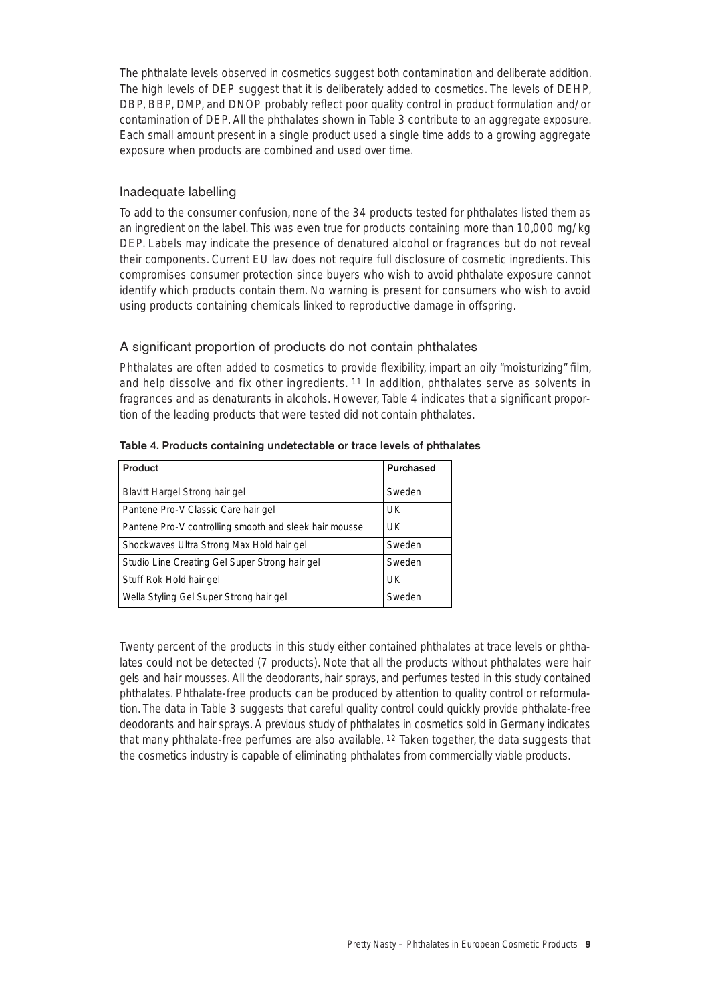The phthalate levels observed in cosmetics suggest both contamination and deliberate addition. The high levels of DEP suggest that it is deliberately added to cosmetics. The levels of DEHP, DBP, BBP, DMP, and DNOP probably reflect poor quality control in product formulation and/or contamination of DEP. All the phthalates shown in Table 3 contribute to an aggregate exposure. Each small amount present in a single product used a single time adds to a growing aggregate exposure when products are combined and used over time.

## Inadequate labelling

To add to the consumer confusion, none of the 34 products tested for phthalates listed them as an ingredient on the label. This was even true for products containing more than 10,000 mg/kg DEP. Labels may indicate the presence of denatured alcohol or fragrances but do not reveal their components. Current EU law does not require full disclosure of cosmetic ingredients. This compromises consumer protection since buyers who wish to avoid phthalate exposure cannot identify which products contain them. No warning is present for consumers who wish to avoid using products containing chemicals linked to reproductive damage in offspring.

#### A significant proportion of products do not contain phthalates

Phthalates are often added to cosmetics to provide flexibility, impart an oily "moisturizing" film, and help dissolve and fix other ingredients. 11 In addition, phthalates serve as solvents in fragrances and as denaturants in alcohols. However, Table 4 indicates that a significant proportion of the leading products that were tested did not contain phthalates.

| Product                                                | Purchased |
|--------------------------------------------------------|-----------|
| Blavitt Hargel Strong hair gel                         | Sweden    |
| Pantene Pro-V Classic Care hair gel                    | <b>UK</b> |
| Pantene Pro-V controlling smooth and sleek hair mousse | UK        |
| Shockwaves Ultra Strong Max Hold hair gel              | Sweden    |
| Studio Line Creating Gel Super Strong hair gel         | Sweden    |
| Stuff Rok Hold hair gel                                | UK        |
| Wella Styling Gel Super Strong hair gel                | Sweden    |

#### **Table 4. Products containing undetectable or trace levels of phthalates**

Twenty percent of the products in this study either contained phthalates at trace levels or phthalates could not be detected (7 products). Note that all the products without phthalates were hair gels and hair mousses. All the deodorants, hair sprays, and perfumes tested in this study contained phthalates. Phthalate-free products can be produced by attention to quality control or reformulation. The data in Table 3 suggests that careful quality control could quickly provide phthalate-free deodorants and hair sprays. A previous study of phthalates in cosmetics sold in Germany indicates that many phthalate-free perfumes are also available. 12 Taken together, the data suggests that the cosmetics industry is capable of eliminating phthalates from commercially viable products.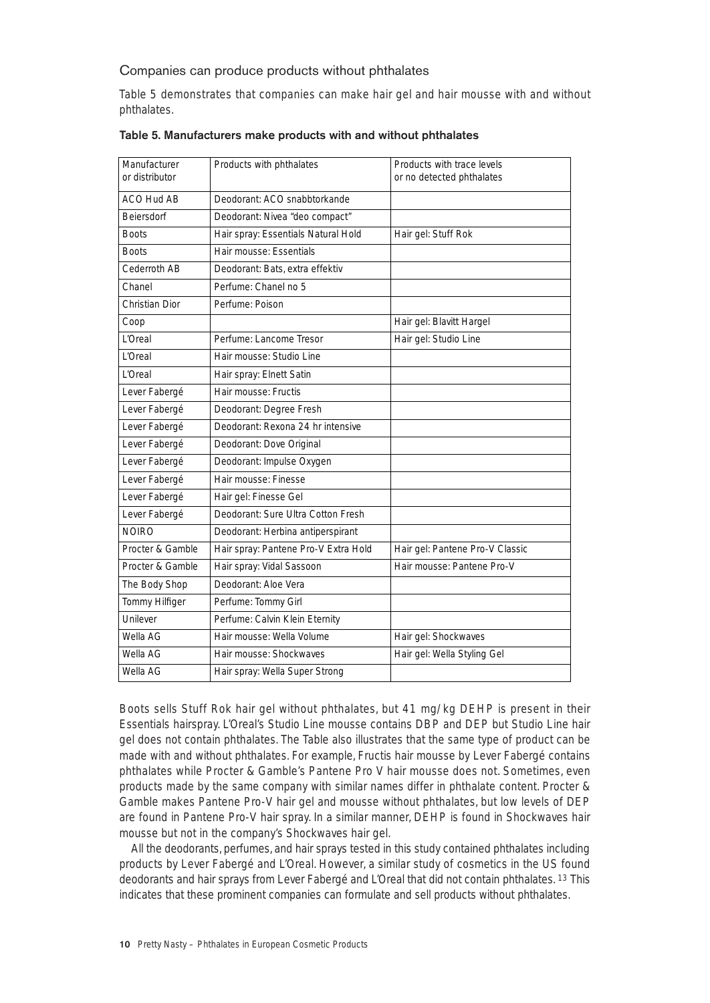## Companies can produce products without phthalates

Table 5 demonstrates that companies can make hair gel and hair mousse with and without phthalates.

| Manufacturer<br>or distributor | Products with phthalates             | Products with trace levels<br>or no detected phthalates |
|--------------------------------|--------------------------------------|---------------------------------------------------------|
| ACO Hud AB                     | Deodorant: ACO snabbtorkande         |                                                         |
| <b>Beiersdorf</b>              | Deodorant: Nivea "deo compact"       |                                                         |
| <b>Boots</b>                   | Hair spray: Essentials Natural Hold  | Hair gel: Stuff Rok                                     |
| <b>Boots</b>                   | Hair mousse: Essentials              |                                                         |
| Cederroth AB                   | Deodorant: Bats, extra effektiv      |                                                         |
| Chanel                         | Perfume: Chanel no 5                 |                                                         |
| Christian Dior                 | Perfume: Poison                      |                                                         |
| Coop                           |                                      | Hair gel: Blavitt Hargel                                |
| l'Oreal                        | Perfume: Lancome Tresor              | Hair gel: Studio Line                                   |
| l'Oreal                        | Hair mousse: Studio Line             |                                                         |
| l 'Oreal                       | Hair spray: Elnett Satin             |                                                         |
| Lever Fabergé                  | Hair mousse: Fructis                 |                                                         |
| Lever Fabergé                  | Deodorant: Degree Fresh              |                                                         |
| Lever Fabergé                  | Deodorant: Rexona 24 hr intensive    |                                                         |
| Lever Fabergé                  | Deodorant: Dove Original             |                                                         |
| Lever Fabergé                  | Deodorant: Impulse Oxygen            |                                                         |
| Lever Fabergé                  | Hair mousse: Finesse                 |                                                         |
| Lever Fabergé                  | Hair gel: Finesse Gel                |                                                         |
| Lever Fabergé                  | Deodorant: Sure Ultra Cotton Fresh   |                                                         |
| <b>NOIRO</b>                   | Deodorant: Herbina antiperspirant    |                                                         |
| Procter & Gamble               | Hair spray: Pantene Pro-V Extra Hold | Hair gel: Pantene Pro-V Classic                         |
| Procter & Gamble               | Hair spray: Vidal Sassoon            | Hair mousse: Pantene Pro-V                              |
| The Body Shop                  | Deodorant: Aloe Vera                 |                                                         |
| Tommy Hilfiger                 | Perfume: Tommy Girl                  |                                                         |
| Unilever                       | Perfume: Calvin Klein Eternity       |                                                         |
| Wella AG                       | Hair mousse: Wella Volume            | Hair gel: Shockwaves                                    |
| Wella AG                       | Hair mousse: Shockwaves              | Hair gel: Wella Styling Gel                             |
| Wella AG                       | Hair spray: Wella Super Strong       |                                                         |

#### **Table 5. Manufacturers make products with and without phthalates**

Boots sells Stuff Rok hair gel without phthalates, but 41 mg/kg DEHP is present in their Essentials hairspray. L'Oreal's Studio Line mousse contains DBP and DEP but Studio Line hair gel does not contain phthalates. The Table also illustrates that the same type of product can be made with and without phthalates. For example, Fructis hair mousse by Lever Fabergé contains phthalates while Procter & Gamble's Pantene Pro V hair mousse does not. Sometimes, even products made by the same company with similar names differ in phthalate content. Procter & Gamble makes Pantene Pro-V hair gel and mousse without phthalates, but low levels of DEP are found in Pantene Pro-V hair spray. In a similar manner, DEHP is found in Shockwaves hair mousse but not in the company's Shockwaves hair gel.

All the deodorants, perfumes, and hair sprays tested in this study contained phthalates including products by Lever Fabergé and L'Oreal. However, a similar study of cosmetics in the US found deodorants and hair sprays from Lever Fabergé and L'Oreal that did not contain phthalates. 13 This indicates that these prominent companies can formulate and sell products without phthalates.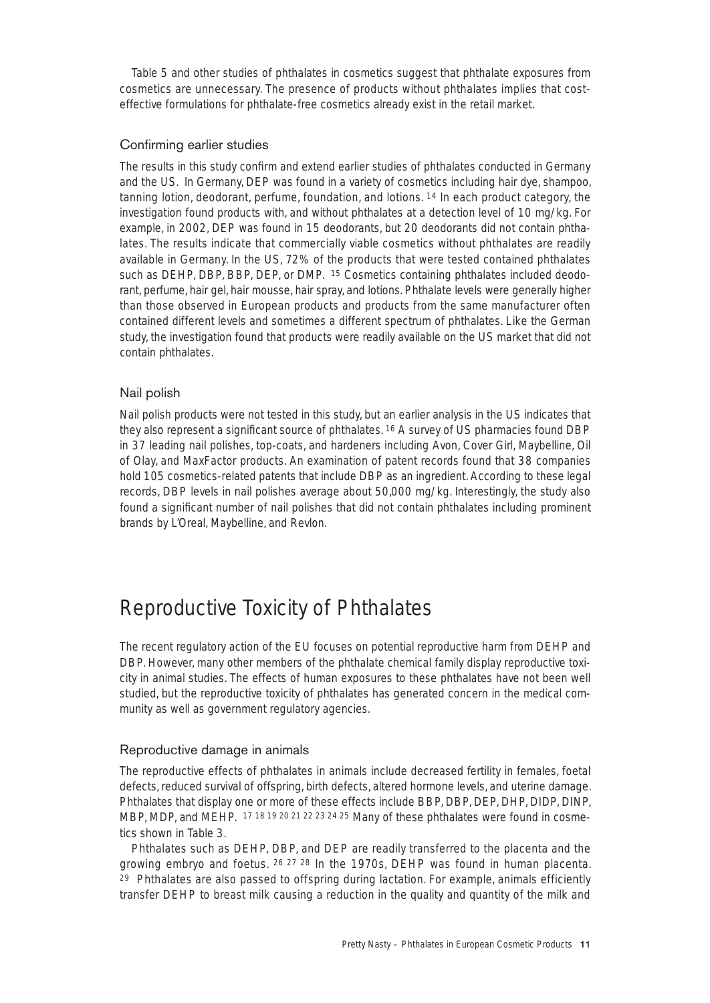Table 5 and other studies of phthalates in cosmetics suggest that phthalate exposures from cosmetics are unnecessary. The presence of products without phthalates implies that costeffective formulations for phthalate-free cosmetics already exist in the retail market.

## Confirming earlier studies

The results in this study confirm and extend earlier studies of phthalates conducted in Germany and the US. In Germany, DEP was found in a variety of cosmetics including hair dye, shampoo, tanning lotion, deodorant, perfume, foundation, and lotions. 14 In each product category, the investigation found products with, and without phthalates at a detection level of 10 mg/kg. For example, in 2002, DEP was found in 15 deodorants, but 20 deodorants did not contain phthalates. The results indicate that commercially viable cosmetics without phthalates are readily available in Germany. In the US, 72% of the products that were tested contained phthalates such as DEHP, DBP, BBP, DEP, or DMP. 15 Cosmetics containing phthalates included deodorant, perfume, hair gel, hair mousse, hair spray, and lotions. Phthalate levels were generally higher than those observed in European products and products from the same manufacturer often contained different levels and sometimes a different spectrum of phthalates. Like the German study, the investigation found that products were readily available on the US market that did not contain phthalates.

## Nail polish

Nail polish products were not tested in this study, but an earlier analysis in the US indicates that they also represent a significant source of phthalates. 16 A survey of US pharmacies found DBP in 37 leading nail polishes, top-coats, and hardeners including Avon, Cover Girl, Maybelline, Oil of Olay, and MaxFactor products. An examination of patent records found that 38 companies hold 105 cosmetics-related patents that include DBP as an ingredient. According to these legal records, DBP levels in nail polishes average about 50,000 mg/kg. Interestingly, the study also found a significant number of nail polishes that did not contain phthalates including prominent brands by L'Oreal, Maybelline, and Revlon.

# Reproductive Toxicity of Phthalates

The recent regulatory action of the EU focuses on potential reproductive harm from DEHP and DBP. However, many other members of the phthalate chemical family display reproductive toxicity in animal studies. The effects of human exposures to these phthalates have not been well studied, but the reproductive toxicity of phthalates has generated concern in the medical community as well as government regulatory agencies.

## Reproductive damage in animals

The reproductive effects of phthalates in animals include decreased fertility in females, foetal defects, reduced survival of offspring, birth defects, altered hormone levels, and uterine damage. Phthalates that display one or more of these effects include BBP, DBP, DEP, DHP, DIDP, DINP, MBP, MDP, and MEHP. 17 18 19 20 21 22 23 24 25 Many of these phthalates were found in cosmetics shown in Table 3.

Phthalates such as DEHP, DBP, and DEP are readily transferred to the placenta and the growing embryo and foetus. 26 27 28 In the 1970s, DEHP was found in human placenta. <sup>29</sup> Phthalates are also passed to offspring during lactation. For example, animals efficiently transfer DEHP to breast milk causing a reduction in the quality and quantity of the milk and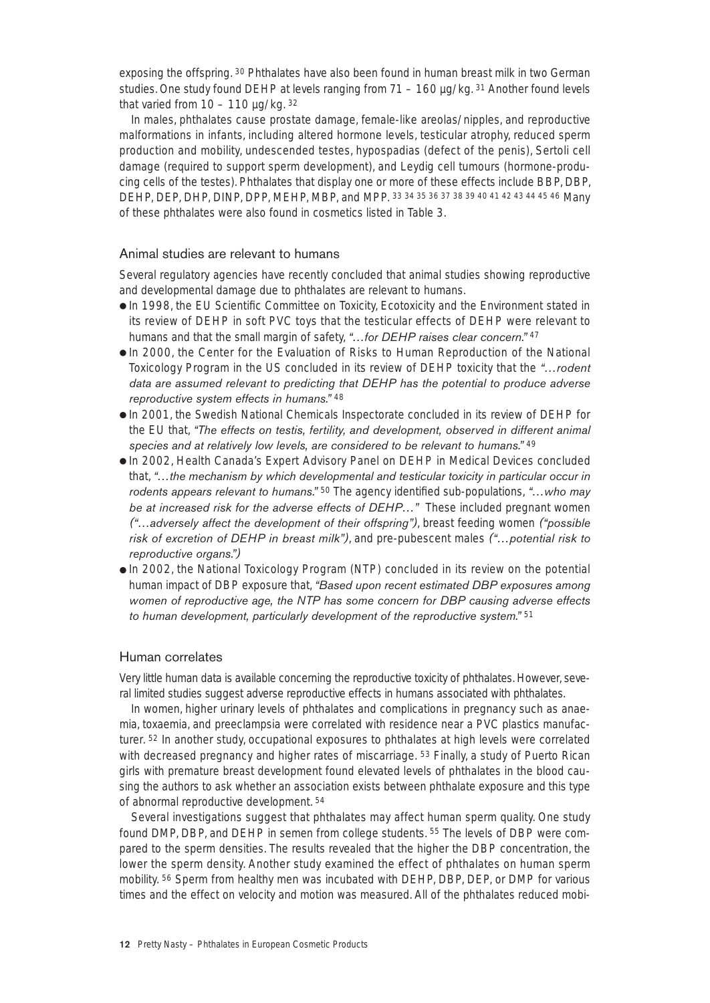exposing the offspring. 30 Phthalates have also been found in human breast milk in two German studies. One study found DEHP at levels ranging from  $71 - 160 \mu q/kg$ ,  $31$  Another found levels that varied from  $10 - 110$  ug/kg.  $32$ 

In males, phthalates cause prostate damage, female-like areolas/nipples, and reproductive malformations in infants, including altered hormone levels, testicular atrophy, reduced sperm production and mobility, undescended testes, hypospadias (defect of the penis), Sertoli cell damage (required to support sperm development), and Leydig cell tumours (hormone-producing cells of the testes). Phthalates that display one or more of these effects include BBP, DBP, DEHP, DEP, DHP, DINP, DPP, MEHP, MBP, and MPP. 33 34 35 36 37 38 39 40 41 42 43 44 45 46 Many of these phthalates were also found in cosmetics listed in Table 3.

#### Animal studies are relevant to humans

Several regulatory agencies have recently concluded that animal studies showing reproductive and developmental damage due to phthalates are relevant to humans.

- In 1998, the EU Scientific Committee on Toxicity, Ecotoxicity and the Environment stated in its review of DEHP in soft PVC toys that the testicular effects of DEHP were relevant to humans and that the small margin of safety, *"…for DEHP raises clear concern."* <sup>47</sup>
- In 2000, the Center for the Evaluation of Risks to Human Reproduction of the National Toxicology Program in the US concluded in its review of DEHP toxicity that the *"…rodent data are assumed relevant to predicting that DEHP has the potential to produce adverse reproductive system effects in humans."* <sup>48</sup>
- In 2001, the Swedish National Chemicals Inspectorate concluded in its review of DEHP for the EU that, *"The effects on testis, fertility, and development, observed in different animal species and at relatively low levels, are considered to be relevant to humans."* <sup>49</sup>
- In 2002, Health Canada's Expert Advisory Panel on DEHP in Medical Devices concluded that, *"…the mechanism by which developmental and testicular toxicity in particular occur in rodents appears relevant to humans."* <sup>50</sup> The agency identified sub-populations, *"…who may be at increased risk for the adverse effects of DEHP…"* These included pregnant women *("…adversely affect the development of their offspring")*, breast feeding women *("possible risk of excretion of DEHP in breast milk")*, and pre-pubescent males *("…potential risk to reproductive organs.")*
- In 2002, the National Toxicology Program (NTP) concluded in its review on the potential human impact of DBP exposure that, *"Based upon recent estimated DBP exposures among women of reproductive age, the NTP has some concern for DBP causing adverse effects to human development, particularly development of the reproductive system."* <sup>51</sup>

#### Human correlates

Very little human data is available concerning the reproductive toxicity of phthalates. However, several limited studies suggest adverse reproductive effects in humans associated with phthalates.

In women, higher urinary levels of phthalates and complications in pregnancy such as anaemia, toxaemia, and preeclampsia were correlated with residence near a PVC plastics manufacturer. 52 In another study, occupational exposures to phthalates at high levels were correlated with decreased pregnancy and higher rates of miscarriage. <sup>53</sup> Finally, a study of Puerto Rican girls with premature breast development found elevated levels of phthalates in the blood causing the authors to ask whether an association exists between phthalate exposure and this type of abnormal reproductive development. 54

Several investigations suggest that phthalates may affect human sperm quality. One study found DMP, DBP, and DEHP in semen from college students. 55 The levels of DBP were compared to the sperm densities. The results revealed that the higher the DBP concentration, the lower the sperm density. Another study examined the effect of phthalates on human sperm mobility. 56 Sperm from healthy men was incubated with DEHP, DBP, DEP, or DMP for various times and the effect on velocity and motion was measured. All of the phthalates reduced mobi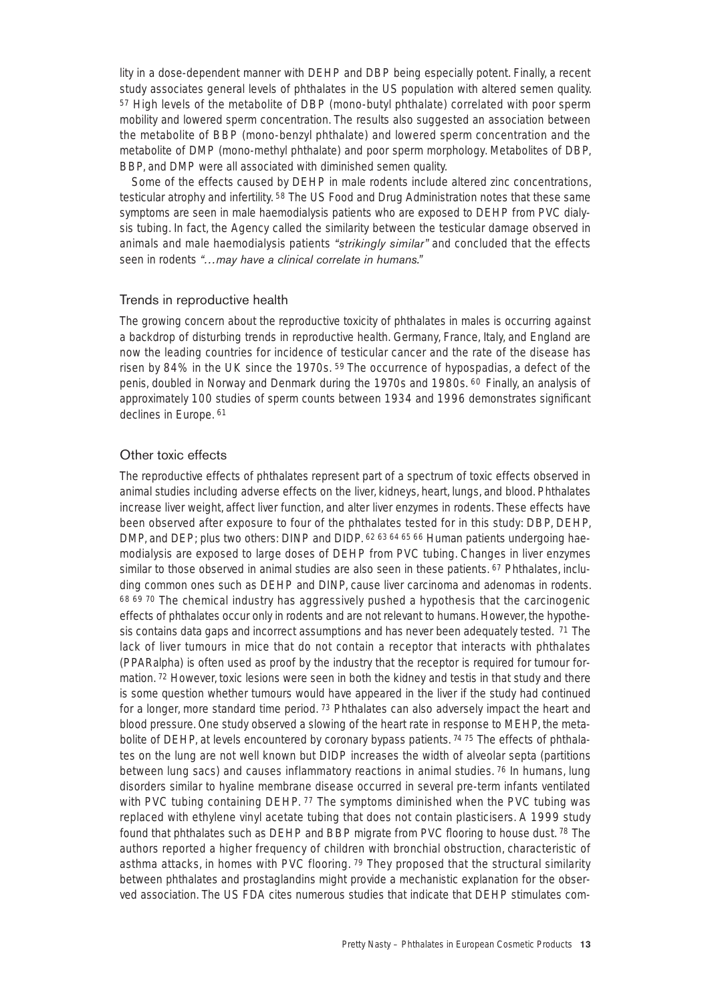lity in a dose-dependent manner with DEHP and DBP being especially potent. Finally, a recent study associates general levels of phthalates in the US population with altered semen quality. <sup>57</sup> High levels of the metabolite of DBP (mono-butyl phthalate) correlated with poor sperm mobility and lowered sperm concentration. The results also suggested an association between the metabolite of BBP (mono-benzyl phthalate) and lowered sperm concentration and the metabolite of DMP (mono-methyl phthalate) and poor sperm morphology. Metabolites of DBP, BBP, and DMP were all associated with diminished semen quality.

Some of the effects caused by DEHP in male rodents include altered zinc concentrations, testicular atrophy and infertility. 58 The US Food and Drug Administration notes that these same symptoms are seen in male haemodialysis patients who are exposed to DEHP from PVC dialysis tubing. In fact, the Agency called the similarity between the testicular damage observed in animals and male haemodialysis patients *"strikingly similar"* and concluded that the effects seen in rodents *"…may have a clinical correlate in humans."*

#### Trends in reproductive health

The growing concern about the reproductive toxicity of phthalates in males is occurring against a backdrop of disturbing trends in reproductive health. Germany, France, Italy, and England are now the leading countries for incidence of testicular cancer and the rate of the disease has risen by 84% in the UK since the 1970s. 59 The occurrence of hypospadias, a defect of the penis, doubled in Norway and Denmark during the 1970s and 1980s. 60 Finally, an analysis of approximately 100 studies of sperm counts between 1934 and 1996 demonstrates significant declines in Europe. 61

#### Other toxic effects

The reproductive effects of phthalates represent part of a spectrum of toxic effects observed in animal studies including adverse effects on the liver, kidneys, heart, lungs, and blood. Phthalates increase liver weight, affect liver function, and alter liver enzymes in rodents. These effects have been observed after exposure to four of the phthalates tested for in this study: DBP, DEHP, DMP, and DEP; plus two others: DINP and DIDP. 62.63.64.65.66 Human patients undergoing haemodialysis are exposed to large doses of DEHP from PVC tubing. Changes in liver enzymes similar to those observed in animal studies are also seen in these patients. <sup>67</sup> Phthalates, including common ones such as DEHP and DINP, cause liver carcinoma and adenomas in rodents. 68 69 70 The chemical industry has aggressively pushed a hypothesis that the carcinogenic effects of phthalates occur only in rodents and are not relevant to humans. However, the hypothesis contains data gaps and incorrect assumptions and has never been adequately tested. <sup>71</sup> The lack of liver tumours in mice that do not contain a receptor that interacts with phthalates (PPARalpha) is often used as proof by the industry that the receptor is required for tumour formation. <sup>72</sup> However, toxic lesions were seen in both the kidney and testis in that study and there is some question whether tumours would have appeared in the liver if the study had continued for a longer, more standard time period. 73 Phthalates can also adversely impact the heart and blood pressure. One study observed a slowing of the heart rate in response to MEHP, the metabolite of DEHP, at levels encountered by coronary bypass patients. 74 75 The effects of phthalates on the lung are not well known but DIDP increases the width of alveolar septa (partitions between lung sacs) and causes inflammatory reactions in animal studies. 76 In humans, lung disorders similar to hyaline membrane disease occurred in several pre-term infants ventilated with PVC tubing containing DEHP. 77 The symptoms diminished when the PVC tubing was replaced with ethylene vinyl acetate tubing that does not contain plasticisers. A 1999 study found that phthalates such as DEHP and BBP migrate from PVC flooring to house dust. 78 The authors reported a higher frequency of children with bronchial obstruction, characteristic of asthma attacks, in homes with PVC flooring.  $79$  They proposed that the structural similarity between phthalates and prostaglandins might provide a mechanistic explanation for the observed association. The US FDA cites numerous studies that indicate that DEHP stimulates com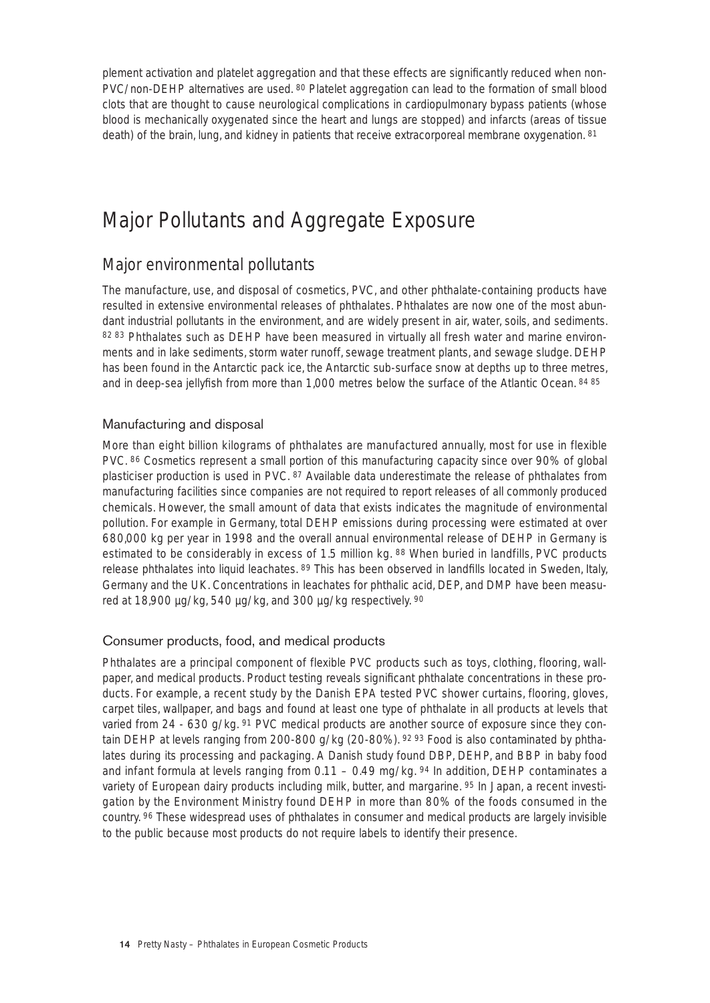plement activation and platelet aggregation and that these effects are significantly reduced when non-PVC/non-DEHP alternatives are used. 80 Platelet aggregation can lead to the formation of small blood clots that are thought to cause neurological complications in cardiopulmonary bypass patients (whose blood is mechanically oxygenated since the heart and lungs are stopped) and infarcts (areas of tissue death) of the brain, lung, and kidney in patients that receive extracorporeal membrane oxygenation. 81

# Major Pollutants and Aggregate Exposure

# Major environmental pollutants

The manufacture, use, and disposal of cosmetics, PVC, and other phthalate-containing products have resulted in extensive environmental releases of phthalates. Phthalates are now one of the most abundant industrial pollutants in the environment, and are widely present in air, water, soils, and sediments. 82 83 Phthalates such as DEHP have been measured in virtually all fresh water and marine environments and in lake sediments, storm water runoff, sewage treatment plants, and sewage sludge. DEHP has been found in the Antarctic pack ice, the Antarctic sub-surface snow at depths up to three metres, and in deep-sea jellyfish from more than 1,000 metres below the surface of the Atlantic Ocean. 84 85

# Manufacturing and disposal

More than eight billion kilograms of phthalates are manufactured annually, most for use in flexible PVC. 86 Cosmetics represent a small portion of this manufacturing capacity since over 90% of global plasticiser production is used in PVC. 87 Available data underestimate the release of phthalates from manufacturing facilities since companies are not required to report releases of all commonly produced chemicals. However, the small amount of data that exists indicates the magnitude of environmental pollution. For example in Germany, total DEHP emissions during processing were estimated at over 680,000 kg per year in 1998 and the overall annual environmental release of DEHP in Germany is estimated to be considerably in excess of 1.5 million kg. 88 When buried in landfills, PVC products release phthalates into liquid leachates. 89 This has been observed in landfills located in Sweden, Italy, Germany and the UK. Concentrations in leachates for phthalic acid, DEP, and DMP have been measured at 18,900 µg/kg, 540 µg/kg, and 300 µg/kg respectively. 90

## Consumer products, food, and medical products

Phthalates are a principal component of flexible PVC products such as toys, clothing, flooring, wallpaper, and medical products. Product testing reveals significant phthalate concentrations in these products. For example, a recent study by the Danish EPA tested PVC shower curtains, flooring, gloves, carpet tiles, wallpaper, and bags and found at least one type of phthalate in all products at levels that varied from 24 - 630 g/kg. <sup>91</sup> PVC medical products are another source of exposure since they contain DEHP at levels ranging from 200-800 g/kg (20-80%). 92 93 Food is also contaminated by phthalates during its processing and packaging. A Danish study found DBP, DEHP, and BBP in baby food and infant formula at levels ranging from  $0.11 - 0.49$  mg/kg.  $94$  In addition, DEHP contaminates a variety of European dairy products including milk, butter, and margarine. 95 In Japan, a recent investigation by the Environment Ministry found DEHP in more than 80% of the foods consumed in the country. 96 These widespread uses of phthalates in consumer and medical products are largely invisible to the public because most products do not require labels to identify their presence.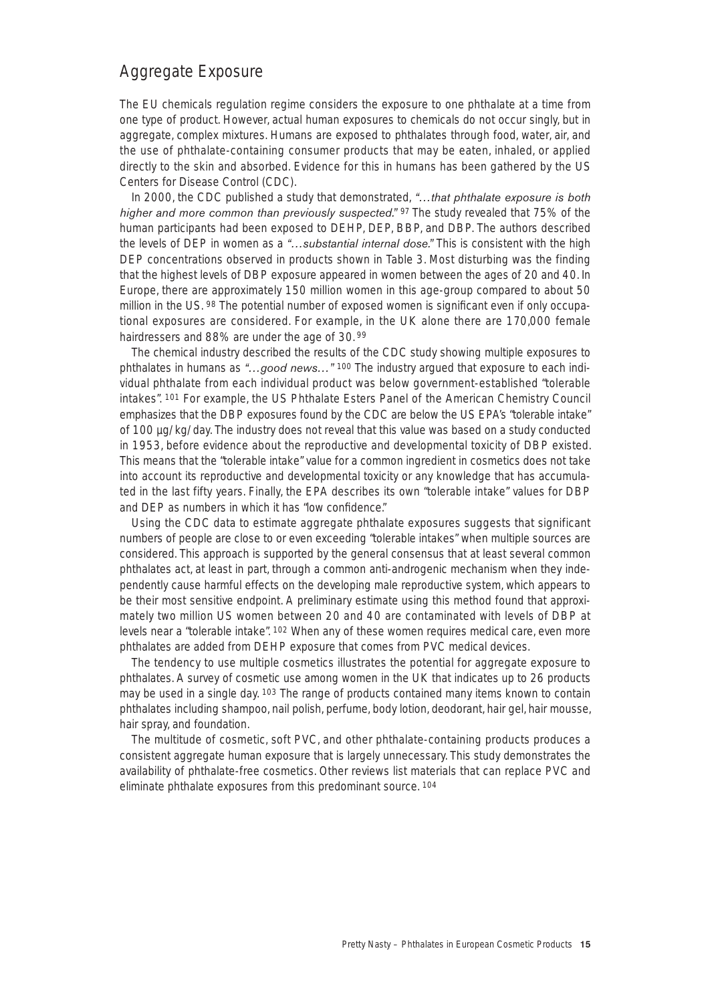# Aggregate Exposure

The EU chemicals regulation regime considers the exposure to one phthalate at a time from one type of product. However, actual human exposures to chemicals do not occur singly, but in aggregate, complex mixtures. Humans are exposed to phthalates through food, water, air, and the use of phthalate-containing consumer products that may be eaten, inhaled, or applied directly to the skin and absorbed. Evidence for this in humans has been gathered by the US Centers for Disease Control (CDC).

In 2000, the CDC published a study that demonstrated, *"…that phthalate exposure is both higher and more common than previously suspected."* 97 The study revealed that 75% of the human participants had been exposed to DEHP, DEP, BBP, and DBP. The authors described the levels of DEP in women as a *"…substantial internal dose."* This is consistent with the high DEP concentrations observed in products shown in Table 3. Most disturbing was the finding that the highest levels of DBP exposure appeared in women between the ages of 20 and 40. In Europe, there are approximately 150 million women in this age-group compared to about 50 million in the US. 98 The potential number of exposed women is significant even if only occupational exposures are considered. For example, in the UK alone there are 170,000 female hairdressers and 88% are under the age of 30. <sup>99</sup>

The chemical industry described the results of the CDC study showing multiple exposures to phthalates in humans as *"…good news…"* <sup>100</sup> The industry argued that exposure to each individual phthalate from each individual product was below government-established "tolerable intakes". 101 For example, the US Phthalate Esters Panel of the American Chemistry Council emphasizes that the DBP exposures found by the CDC are below the US EPA's "tolerable intake" of 100 µg/kg/day. The industry does not reveal that this value was based on a study conducted in 1953, before evidence about the reproductive and developmental toxicity of DBP existed. This means that the "tolerable intake" value for a common ingredient in cosmetics does not take into account its reproductive and developmental toxicity or any knowledge that has accumulated in the last fifty years. Finally, the EPA describes its own "tolerable intake" values for DBP and DEP as numbers in which it has "low confidence."

Using the CDC data to estimate aggregate phthalate exposures suggests that significant numbers of people are close to or even exceeding "tolerable intakes" when multiple sources are considered. This approach is supported by the general consensus that at least several common phthalates act, at least in part, through a common anti-androgenic mechanism when they independently cause harmful effects on the developing male reproductive system, which appears to be their most sensitive endpoint. A preliminary estimate using this method found that approximately two million US women between 20 and 40 are contaminated with levels of DBP at levels near a "tolerable intake". 102 When any of these women requires medical care, even more phthalates are added from DEHP exposure that comes from PVC medical devices.

The tendency to use multiple cosmetics illustrates the potential for aggregate exposure to phthalates. A survey of cosmetic use among women in the UK that indicates up to 26 products may be used in a single day. 103 The range of products contained many items known to contain phthalates including shampoo, nail polish, perfume, body lotion, deodorant, hair gel, hair mousse, hair spray, and foundation.

The multitude of cosmetic, soft PVC, and other phthalate-containing products produces a consistent aggregate human exposure that is largely unnecessary. This study demonstrates the availability of phthalate-free cosmetics. Other reviews list materials that can replace PVC and eliminate phthalate exposures from this predominant source. 104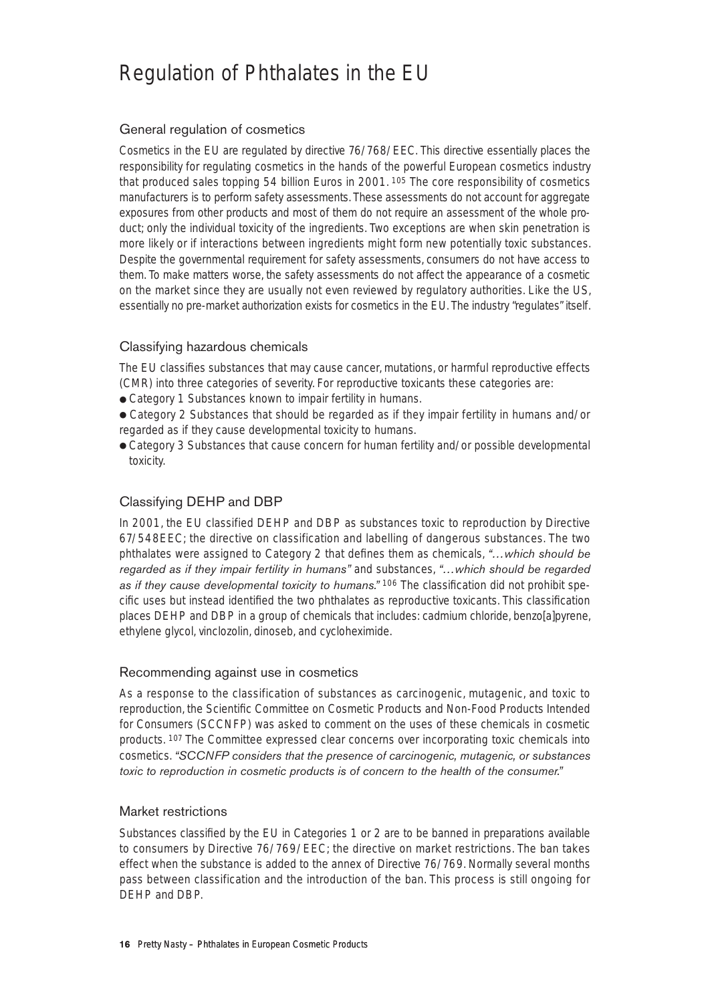# Regulation of Phthalates in the EU

# General regulation of cosmetics

Cosmetics in the EU are regulated by directive 76/768/EEC. This directive essentially places the responsibility for regulating cosmetics in the hands of the powerful European cosmetics industry that produced sales topping 54 billion Euros in 2001. 105 The core responsibility of cosmetics manufacturers is to perform safety assessments. These assessments do not account for aggregate exposures from other products and most of them do not require an assessment of the whole product; only the individual toxicity of the ingredients. Two exceptions are when skin penetration is more likely or if interactions between ingredients might form new potentially toxic substances. Despite the governmental requirement for safety assessments, consumers do not have access to them. To make matters worse, the safety assessments do not affect the appearance of a cosmetic on the market since they are usually not even reviewed by regulatory authorities. Like the US, essentially no pre-market authorization exists for cosmetics in the EU. The industry "regulates" itself.

## Classifying hazardous chemicals

The EU classifies substances that may cause cancer, mutations, or harmful reproductive effects (CMR) into three categories of severity. For reproductive toxicants these categories are:

- Category 1 Substances known to impair fertility in humans.
- Category 2 Substances that should be regarded as if they impair fertility in humans and/or regarded as if they cause developmental toxicity to humans.
- Category 3 Substances that cause concern for human fertility and/or possible developmental toxicity.

# Classifying DEHP and DBP

In 2001, the EU classified DEHP and DBP as substances toxic to reproduction by Directive 67/548EEC; the directive on classification and labelling of dangerous substances. The two phthalates were assigned to Category 2 that defines them as chemicals, *"…which should be regarded as if they impair fertility in humans"* and substances, *"…which should be regarded as if they cause developmental toxicity to humans."* <sup>106</sup> The classification did not prohibit specific uses but instead identified the two phthalates as reproductive toxicants. This classification places DEHP and DBP in a group of chemicals that includes: cadmium chloride, benzo[a]pyrene, ethylene glycol, vinclozolin, dinoseb, and cycloheximide.

#### Recommending against use in cosmetics

As a response to the classification of substances as carcinogenic, mutagenic, and toxic to reproduction, the Scientific Committee on Cosmetic Products and Non-Food Products Intended for Consumers (SCCNFP) was asked to comment on the uses of these chemicals in cosmetic products. 107 The Committee expressed clear concerns over incorporating toxic chemicals into cosmetics. *"SCCNFP considers that the presence of carcinogenic, mutagenic, or substances toxic to reproduction in cosmetic products is of concern to the health of the consumer."*

## Market restrictions

Substances classified by the EU in Categories 1 or 2 are to be banned in preparations available to consumers by Directive 76/769/EEC; the directive on market restrictions. The ban takes effect when the substance is added to the annex of Directive 76/769. Normally several months pass between classification and the introduction of the ban. This process is still ongoing for DEHP and DBP.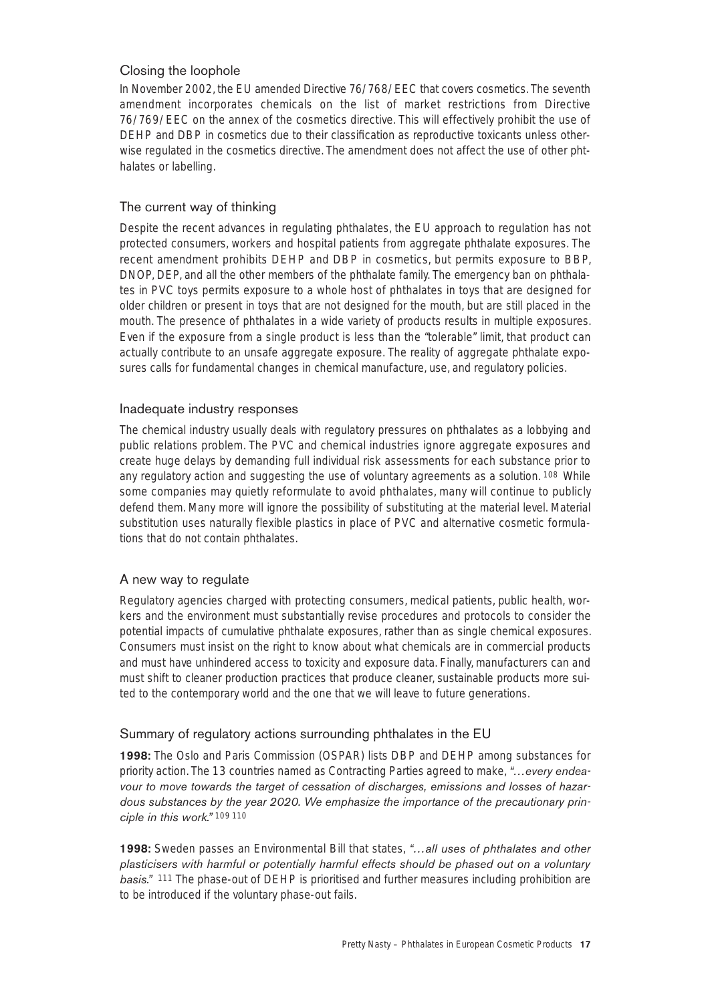# Closing the loophole

In November 2002, the EU amended Directive 76/768/EEC that covers cosmetics. The seventh amendment incorporates chemicals on the list of market restrictions from Directive 76/769/EEC on the annex of the cosmetics directive. This will effectively prohibit the use of DEHP and DBP in cosmetics due to their classification as reproductive toxicants unless otherwise regulated in the cosmetics directive. The amendment does not affect the use of other phthalates or labelling.

## The current way of thinking

Despite the recent advances in regulating phthalates, the EU approach to regulation has not protected consumers, workers and hospital patients from aggregate phthalate exposures. The recent amendment prohibits DEHP and DBP in cosmetics, but permits exposure to BBP, DNOP, DEP, and all the other members of the phthalate family. The emergency ban on phthalates in PVC toys permits exposure to a whole host of phthalates in toys that are designed for older children or present in toys that are not designed for the mouth, but are still placed in the mouth. The presence of phthalates in a wide variety of products results in multiple exposures. Even if the exposure from a single product is less than the "tolerable" limit, that product can actually contribute to an unsafe aggregate exposure. The reality of aggregate phthalate exposures calls for fundamental changes in chemical manufacture, use, and regulatory policies.

#### Inadequate industry responses

The chemical industry usually deals with regulatory pressures on phthalates as a lobbying and public relations problem. The PVC and chemical industries ignore aggregate exposures and create huge delays by demanding full individual risk assessments for each substance prior to any regulatory action and suggesting the use of voluntary agreements as a solution. 108 While some companies may quietly reformulate to avoid phthalates, many will continue to publicly defend them. Many more will ignore the possibility of substituting at the material level. Material substitution uses naturally flexible plastics in place of PVC and alternative cosmetic formulations that do not contain phthalates.

## A new way to regulate

Regulatory agencies charged with protecting consumers, medical patients, public health, workers and the environment must substantially revise procedures and protocols to consider the potential impacts of cumulative phthalate exposures, rather than as single chemical exposures. Consumers must insist on the right to know about what chemicals are in commercial products and must have unhindered access to toxicity and exposure data. Finally, manufacturers can and must shift to cleaner production practices that produce cleaner, sustainable products more suited to the contemporary world and the one that we will leave to future generations.

## Summary of regulatory actions surrounding phthalates in the EU

**1998:** The Oslo and Paris Commission (OSPAR) lists DBP and DEHP among substances for priority action. The 13 countries named as Contracting Parties agreed to make, *"…every endeavour to move towards the target of cessation of discharges, emissions and losses of hazardous substances by the year 2020. We emphasize the importance of the precautionary principle in this work."* 109 110

**1998:** Sweden passes an Environmental Bill that states, *"…all uses of phthalates and other plasticisers with harmful or potentially harmful effects should be phased out on a voluntary basis."* <sup>111</sup> The phase-out of DEHP is prioritised and further measures including prohibition are to be introduced if the voluntary phase-out fails.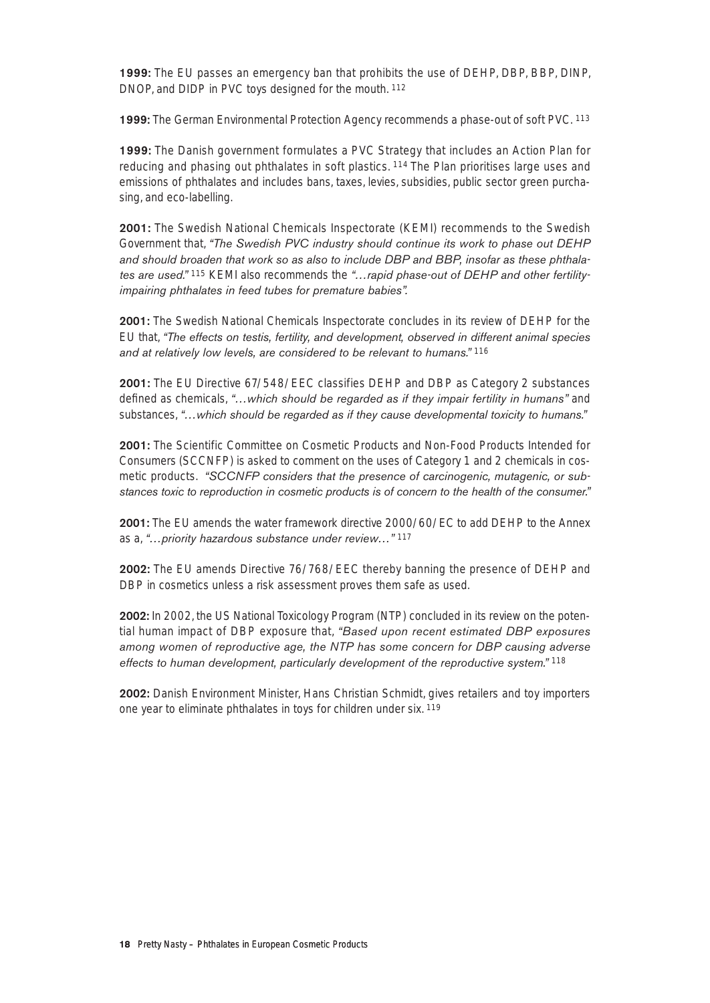**1999:** The EU passes an emergency ban that prohibits the use of DEHP, DBP, BBP, DINP, DNOP, and DIDP in PVC toys designed for the mouth. 112

**1999:** The German Environmental Protection Agency recommends a phase-out of soft PVC. <sup>113</sup>

**1999:** The Danish government formulates a PVC Strategy that includes an Action Plan for reducing and phasing out phthalates in soft plastics. 114 The Plan prioritises large uses and emissions of phthalates and includes bans, taxes, levies, subsidies, public sector green purchasing, and eco-labelling.

**2001:** The Swedish National Chemicals Inspectorate (KEMI) recommends to the Swedish Government that, *"The Swedish PVC industry should continue its work to phase out DEHP and should broaden that work so as also to include DBP and BBP, insofar as these phthalates are used."* <sup>115</sup> KEMI also recommends the *"…rapid phase-out of DEHP and other fertilityimpairing phthalates in feed tubes for premature babies".* 

**2001:** The Swedish National Chemicals Inspectorate concludes in its review of DEHP for the EU that, *"The effects on testis, fertility, and development, observed in different animal species and at relatively low levels, are considered to be relevant to humans."* <sup>116</sup>

**2001:** The EU Directive 67/548/EEC classifies DEHP and DBP as Category 2 substances defined as chemicals, *"…which should be regarded as if they impair fertility in humans"* and substances, *"…which should be regarded as if they cause developmental toxicity to humans."*

**2001:** The Scientific Committee on Cosmetic Products and Non-Food Products Intended for Consumers (SCCNFP) is asked to comment on the uses of Category 1 and 2 chemicals in cosmetic products. *"SCCNFP considers that the presence of carcinogenic, mutagenic, or substances toxic to reproduction in cosmetic products is of concern to the health of the consumer."* 

**2001:** The EU amends the water framework directive 2000/60/EC to add DEHP to the Annex as a, *"…priority hazardous substance under review…"* <sup>117</sup>

**2002:** The EU amends Directive 76/768/EEC thereby banning the presence of DEHP and DBP in cosmetics unless a risk assessment proves them safe as used.

**2002:** In 2002, the US National Toxicology Program (NTP) concluded in its review on the potential human impact of DBP exposure that, *"Based upon recent estimated DBP exposures among women of reproductive age, the NTP has some concern for DBP causing adverse effects to human development, particularly development of the reproductive system."* <sup>118</sup>

**2002:** Danish Environment Minister, Hans Christian Schmidt, gives retailers and toy importers one year to eliminate phthalates in toys for children under six. 119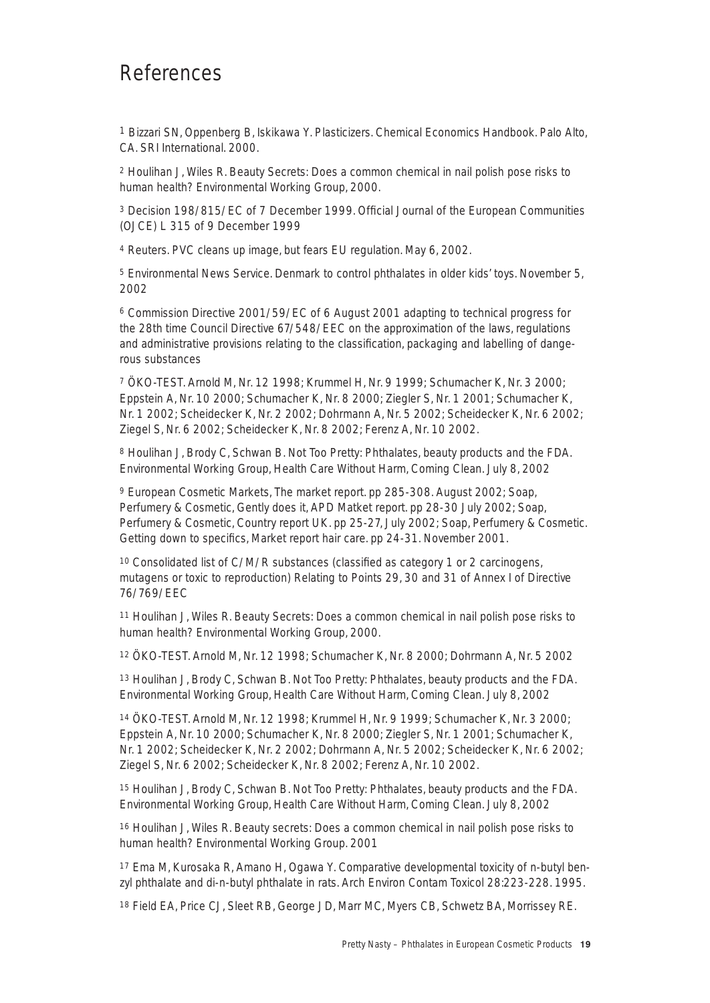# References

1 Bizzari SN, Oppenberg B, Iskikawa Y. Plasticizers. Chemical Economics Handbook. Palo Alto, CA. SRI International. 2000.

<sup>2</sup> Houlihan J, Wiles R. Beauty Secrets: Does a common chemical in nail polish pose risks to human health? Environmental Working Group, 2000.

<sup>3</sup> Decision 198/815/EC of 7 December 1999. Official Journal of the European Communities (OJCE) L 315 of 9 December 1999

<sup>4</sup> Reuters. PVC cleans up image, but fears EU regulation. May 6, 2002.

<sup>5</sup> Environmental News Service. Denmark to control phthalates in older kids' toys. November 5, 2002

<sup>6</sup> Commission Directive 2001/59/EC of 6 August 2001 adapting to technical progress for the 28th time Council Directive 67/548/EEC on the approximation of the laws, regulations and administrative provisions relating to the classification, packaging and labelling of dangerous substances

<sup>7</sup> ÖKO-TEST. Arnold M, Nr. 12 1998; Krummel H, Nr. 9 1999; Schumacher K, Nr. 3 2000; Eppstein A, Nr. 10 2000; Schumacher K, Nr. 8 2000; Ziegler S, Nr. 1 2001; Schumacher K, Nr. 1 2002; Scheidecker K, Nr. 2 2002; Dohrmann A, Nr. 5 2002; Scheidecker K, Nr. 6 2002; Ziegel S, Nr. 6 2002; Scheidecker K, Nr. 8 2002; Ferenz A, Nr. 10 2002.

<sup>8</sup> Houlihan J, Brody C, Schwan B. Not Too Pretty: Phthalates, beauty products and the FDA. Environmental Working Group, Health Care Without Harm, Coming Clean. July 8, 2002

<sup>9</sup> European Cosmetic Markets, The market report. pp 285-308. August 2002; Soap, Perfumery & Cosmetic, Gently does it, APD Matket report. pp 28-30 July 2002; Soap, Perfumery & Cosmetic, Country report UK. pp 25-27, July 2002; Soap, Perfumery & Cosmetic. Getting down to specifics, Market report hair care. pp 24-31. November 2001.

<sup>10</sup> Consolidated list of C/M/R substances (classified as category 1 or 2 carcinogens, mutagens or toxic to reproduction) Relating to Points 29, 30 and 31 of Annex I of Directive 76/769/EEC

<sup>11</sup> Houlihan J, Wiles R. Beauty Secrets: Does a common chemical in nail polish pose risks to human health? Environmental Working Group, 2000.

<sup>12</sup> ÖKO-TEST. Arnold M, Nr. 12 1998; Schumacher K, Nr. 8 2000; Dohrmann A, Nr. 5 2002

<sup>13</sup> Houlihan J, Brody C, Schwan B. Not Too Pretty: Phthalates, beauty products and the FDA. Environmental Working Group, Health Care Without Harm, Coming Clean. July 8, 2002

<sup>14</sup> ÖKO-TEST. Arnold M, Nr. 12 1998; Krummel H, Nr. 9 1999; Schumacher K, Nr. 3 2000; Eppstein A, Nr. 10 2000; Schumacher K, Nr. 8 2000; Ziegler S, Nr. 1 2001; Schumacher K, Nr. 1 2002; Scheidecker K, Nr. 2 2002; Dohrmann A, Nr. 5 2002; Scheidecker K, Nr. 6 2002; Ziegel S, Nr. 6 2002; Scheidecker K, Nr. 8 2002; Ferenz A, Nr. 10 2002.

<sup>15</sup> Houlihan J, Brody C, Schwan B. Not Too Pretty: Phthalates, beauty products and the FDA. Environmental Working Group, Health Care Without Harm, Coming Clean. July 8, 2002

<sup>16</sup> Houlihan J, Wiles R. Beauty secrets: Does a common chemical in nail polish pose risks to human health? Environmental Working Group. 2001

<sup>17</sup> Ema M, Kurosaka R, Amano H, Ogawa Y. Comparative developmental toxicity of n-butyl benzyl phthalate and di-n-butyl phthalate in rats. Arch Environ Contam Toxicol 28:223-228. 1995.

<sup>18</sup> Field EA, Price CJ, Sleet RB, George JD, Marr MC, Myers CB, Schwetz BA, Morrissey RE.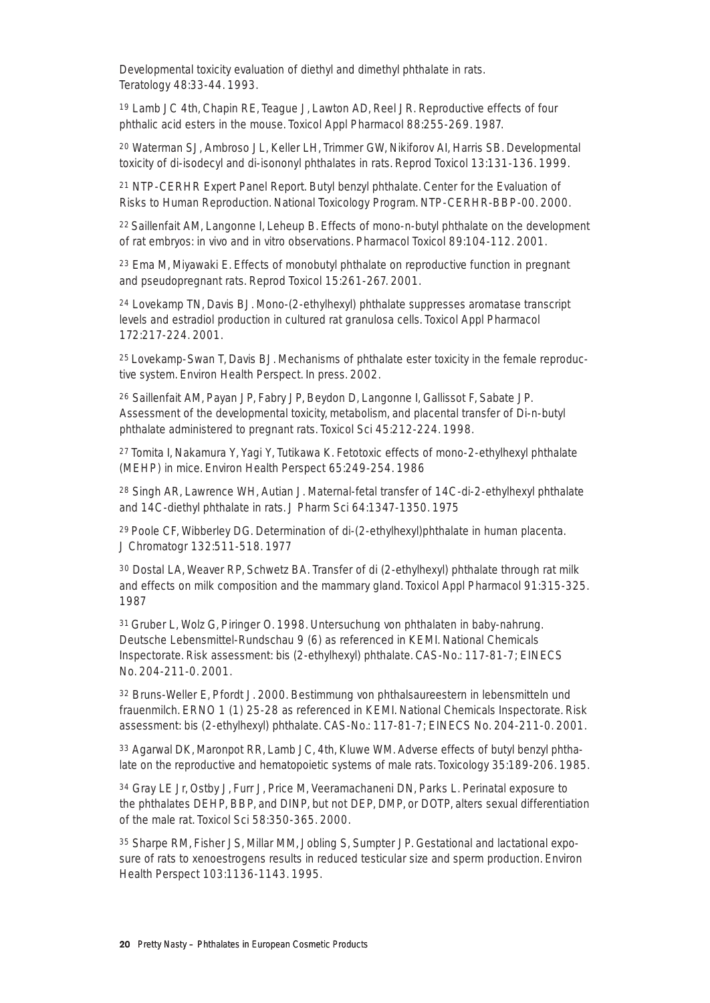Developmental toxicity evaluation of diethyl and dimethyl phthalate in rats. Teratology 48:33-44. 1993.

<sup>19</sup> Lamb JC 4th, Chapin RE, Teague J, Lawton AD, Reel JR. Reproductive effects of four phthalic acid esters in the mouse. Toxicol Appl Pharmacol 88:255-269. 1987.

<sup>20</sup> Waterman SJ, Ambroso JL, Keller LH, Trimmer GW, Nikiforov AI, Harris SB. Developmental toxicity of di-isodecyl and di-isononyl phthalates in rats. Reprod Toxicol 13:131-136. 1999.

<sup>21</sup> NTP-CERHR Expert Panel Report. Butyl benzyl phthalate. Center for the Evaluation of Risks to Human Reproduction. National Toxicology Program. NTP-CERHR-BBP-00. 2000.

22 Saillenfait AM, Langonne I, Leheup B. Effects of mono-n-butyl phthalate on the development of rat embryos: in vivo and in vitro observations. Pharmacol Toxicol 89:104-112. 2001.

<sup>23</sup> Ema M, Miyawaki E. Effects of monobutyl phthalate on reproductive function in pregnant and pseudopregnant rats. Reprod Toxicol 15:261-267. 2001.

<sup>24</sup> Lovekamp TN, Davis BJ. Mono-(2-ethylhexyl) phthalate suppresses aromatase transcript levels and estradiol production in cultured rat granulosa cells. Toxicol Appl Pharmacol 172:217-224. 2001.

25 Lovekamp-Swan T, Davis BJ. Mechanisms of phthalate ester toxicity in the female reproductive system. Environ Health Perspect. In press. 2002.

<sup>26</sup> Saillenfait AM, Payan JP, Fabry JP, Beydon D, Langonne I, Gallissot F, Sabate JP. Assessment of the developmental toxicity, metabolism, and placental transfer of Di-n-butyl phthalate administered to pregnant rats. Toxicol Sci 45:212-224. 1998.

27 Tomita I, Nakamura Y, Yagi Y, Tutikawa K. Fetotoxic effects of mono-2-ethylhexyl phthalate (MEHP) in mice. Environ Health Perspect 65:249-254. 1986

<sup>28</sup> Singh AR, Lawrence WH, Autian J. Maternal-fetal transfer of 14C-di-2-ethylhexyl phthalate and 14C-diethyl phthalate in rats. J Pharm Sci 64:1347-1350. 1975

29 Poole CF, Wibberley DG. Determination of di-(2-ethylhexyl)phthalate in human placenta. J Chromatogr 132:511-518. 1977

<sup>30</sup> Dostal LA, Weaver RP, Schwetz BA. Transfer of di (2-ethylhexyl) phthalate through rat milk and effects on milk composition and the mammary gland. Toxicol Appl Pharmacol 91:315-325. 1987

31 Gruber L, Wolz G, Piringer O. 1998. Untersuchung von phthalaten in baby-nahrung. Deutsche Lebensmittel-Rundschau 9 (6) as referenced in KEMI. National Chemicals Inspectorate. Risk assessment: bis (2-ethylhexyl) phthalate. CAS-No.: 117-81-7; EINECS No. 204-211-0. 2001.

<sup>32</sup> Bruns-Weller E, Pfordt J. 2000. Bestimmung von phthalsaureestern in lebensmitteln und frauenmilch. ERNO 1 (1) 25-28 as referenced in KEMI. National Chemicals Inspectorate. Risk assessment: bis (2-ethylhexyl) phthalate. CAS-No.: 117-81-7; EINECS No. 204-211-0. 2001.

<sup>33</sup> Agarwal DK, Maronpot RR, Lamb JC, 4th, Kluwe WM. Adverse effects of butyl benzyl phthalate on the reproductive and hematopoietic systems of male rats. Toxicology 35:189-206. 1985.

<sup>34</sup> Gray LE Jr, Ostby J, Furr J, Price M, Veeramachaneni DN, Parks L. Perinatal exposure to the phthalates DEHP, BBP, and DINP, but not DEP, DMP, or DOTP, alters sexual differentiation of the male rat. Toxicol Sci 58:350-365. 2000.

<sup>35</sup> Sharpe RM, Fisher JS, Millar MM, Jobling S, Sumpter JP. Gestational and lactational exposure of rats to xenoestrogens results in reduced testicular size and sperm production. Environ Health Perspect 103:1136-1143. 1995.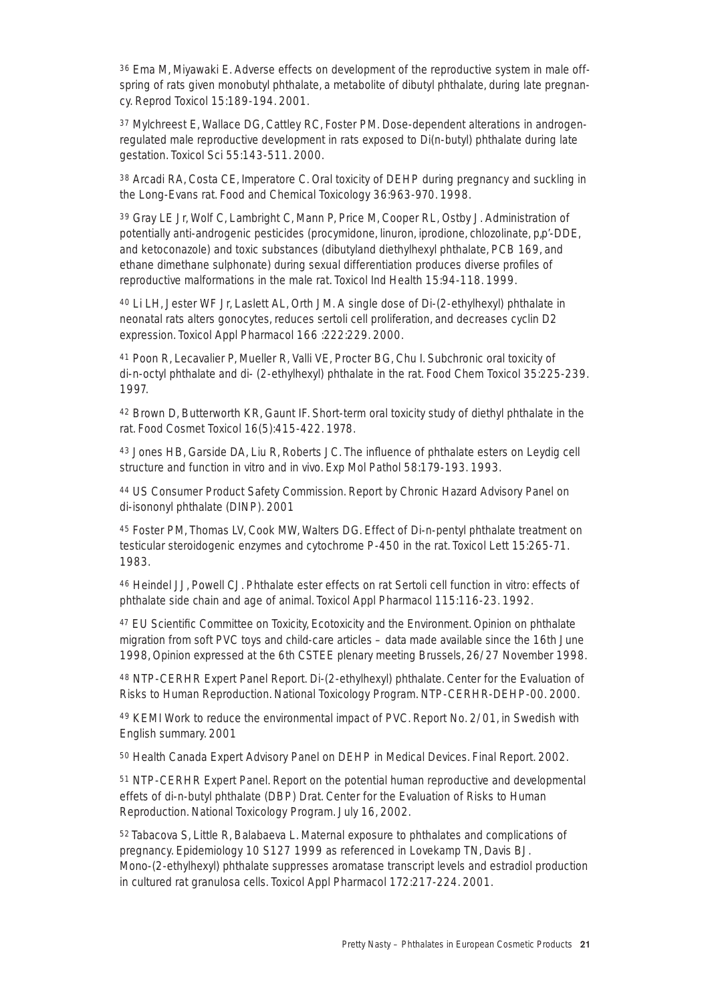<sup>36</sup> Ema M, Miyawaki E. Adverse effects on development of the reproductive system in male offspring of rats given monobutyl phthalate, a metabolite of dibutyl phthalate, during late pregnancy. Reprod Toxicol 15:189-194. 2001.

<sup>37</sup> Mylchreest E, Wallace DG, Cattley RC, Foster PM. Dose-dependent alterations in androgenregulated male reproductive development in rats exposed to Di(n-butyl) phthalate during late gestation. Toxicol Sci 55:143-511. 2000.

<sup>38</sup> Arcadi RA, Costa CE, Imperatore C. Oral toxicity of DEHP during pregnancy and suckling in the Long-Evans rat. Food and Chemical Toxicology 36:963-970. 1998.

<sup>39</sup> Gray LE Jr, Wolf C, Lambright C, Mann P, Price M, Cooper RL, Ostby J. Administration of potentially anti-androgenic pesticides (procymidone, linuron, iprodione, chlozolinate, p,p'-DDE, and ketoconazole) and toxic substances (dibutyland diethylhexyl phthalate, PCB 169, and ethane dimethane sulphonate) during sexual differentiation produces diverse profiles of reproductive malformations in the male rat. Toxicol Ind Health 15:94-118. 1999.

<sup>40</sup> Li LH, Jester WF Jr, Laslett AL, Orth JM. A single dose of Di-(2-ethylhexyl) phthalate in neonatal rats alters gonocytes, reduces sertoli cell proliferation, and decreases cyclin D2 expression. Toxicol Appl Pharmacol 166 :222:229. 2000.

<sup>41</sup> Poon R, Lecavalier P, Mueller R, Valli VE, Procter BG, Chu I. Subchronic oral toxicity of di-n-octyl phthalate and di- (2-ethylhexyl) phthalate in the rat. Food Chem Toxicol 35:225-239. 1997.

<sup>42</sup> Brown D, Butterworth KR, Gaunt IF. Short-term oral toxicity study of diethyl phthalate in the rat. Food Cosmet Toxicol 16(5):415-422. 1978.

<sup>43</sup> Jones HB, Garside DA, Liu R, Roberts JC. The influence of phthalate esters on Leydig cell structure and function in vitro and in vivo. Exp Mol Pathol 58:179-193. 1993.

<sup>44</sup> US Consumer Product Safety Commission. Report by Chronic Hazard Advisory Panel on di-isononyl phthalate (DINP). 2001

<sup>45</sup> Foster PM, Thomas LV, Cook MW, Walters DG. Effect of Di-n-pentyl phthalate treatment on testicular steroidogenic enzymes and cytochrome P-450 in the rat. Toxicol Lett 15:265-71. 1983.

<sup>46</sup> Heindel JJ, Powell CJ. Phthalate ester effects on rat Sertoli cell function in vitro: effects of phthalate side chain and age of animal. Toxicol Appl Pharmacol 115:116-23. 1992.

<sup>47</sup> EU Scientific Committee on Toxicity, Ecotoxicity and the Environment. Opinion on phthalate migration from soft PVC toys and child-care articles – data made available since the 16th June 1998, Opinion expressed at the 6th CSTEE plenary meeting Brussels, 26/27 November 1998.

<sup>48</sup> NTP-CERHR Expert Panel Report. Di-(2-ethylhexyl) phthalate. Center for the Evaluation of Risks to Human Reproduction. National Toxicology Program. NTP-CERHR-DEHP-00. 2000.

<sup>49</sup> KEMI Work to reduce the environmental impact of PVC. Report No. 2/01, in Swedish with English summary. 2001

<sup>50</sup> Health Canada Expert Advisory Panel on DEHP in Medical Devices. Final Report. 2002.

<sup>51</sup> NTP-CERHR Expert Panel. Report on the potential human reproductive and developmental effets of di-n-butyl phthalate (DBP) Drat. Center for the Evaluation of Risks to Human Reproduction. National Toxicology Program. July 16, 2002.

52 Tabacova S, Little R, Balabaeva L. Maternal exposure to phthalates and complications of pregnancy. Epidemiology 10 S127 1999 as referenced in Lovekamp TN, Davis BJ. Mono-(2-ethylhexyl) phthalate suppresses aromatase transcript levels and estradiol production in cultured rat granulosa cells. Toxicol Appl Pharmacol 172:217-224. 2001.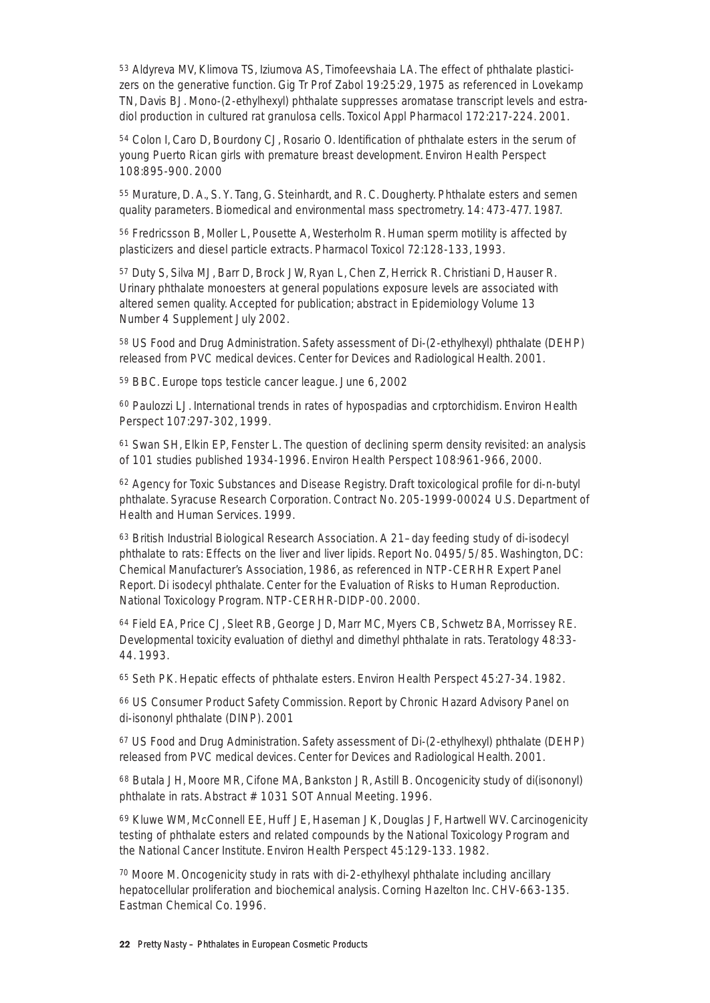<sup>53</sup> Aldyreva MV, Klimova TS, Iziumova AS, Timofeevshaia LA. The effect of phthalate plasticizers on the generative function. Gig Tr Prof Zabol 19:25:29, 1975 as referenced in Lovekamp TN, Davis BJ. Mono-(2-ethylhexyl) phthalate suppresses aromatase transcript levels and estradiol production in cultured rat granulosa cells. Toxicol Appl Pharmacol 172:217-224. 2001.

<sup>54</sup> Colon I, Caro D, Bourdony CJ, Rosario O. Identification of phthalate esters in the serum of young Puerto Rican girls with premature breast development. Environ Health Perspect 108:895-900. 2000

<sup>55</sup> Murature, D. A., S. Y. Tang, G. Steinhardt, and R. C. Dougherty. Phthalate esters and semen quality parameters. Biomedical and environmental mass spectrometry. 14: 473-477. 1987.

<sup>56</sup> Fredricsson B, Moller L, Pousette A, Westerholm R. Human sperm motility is affected by plasticizers and diesel particle extracts. Pharmacol Toxicol 72:128-133, 1993.

<sup>57</sup> Duty S, Silva MJ, Barr D, Brock JW, Ryan L, Chen Z, Herrick R. Christiani D, Hauser R. Urinary phthalate monoesters at general populations exposure levels are associated with altered semen quality. Accepted for publication; abstract in Epidemiology Volume 13 Number 4 Supplement July 2002.

<sup>58</sup> US Food and Drug Administration. Safety assessment of Di-(2-ethylhexyl) phthalate (DEHP) released from PVC medical devices. Center for Devices and Radiological Health. 2001.

<sup>59</sup> BBC. Europe tops testicle cancer league. June 6, 2002

<sup>60</sup> Paulozzi LJ. International trends in rates of hypospadias and crptorchidism. Environ Health Perspect 107:297-302, 1999.

<sup>61</sup> Swan SH, Elkin EP, Fenster L. The question of declining sperm density revisited: an analysis of 101 studies published 1934-1996. Environ Health Perspect 108:961-966, 2000.

<sup>62</sup> Agency for Toxic Substances and Disease Registry. Draft toxicological profile for di-n-butyl phthalate. Syracuse Research Corporation. Contract No. 205-1999-00024 U.S. Department of Health and Human Services. 1999.

<sup>63</sup> British Industrial Biological Research Association. A 21–day feeding study of di-isodecyl phthalate to rats: Effects on the liver and liver lipids. Report No. 0495/5/85. Washington, DC: Chemical Manufacturer's Association, 1986, as referenced in NTP-CERHR Expert Panel Report. Di isodecyl phthalate. Center for the Evaluation of Risks to Human Reproduction. National Toxicology Program. NTP-CERHR-DIDP-00. 2000.

<sup>64</sup> Field EA, Price CJ, Sleet RB, George JD, Marr MC, Myers CB, Schwetz BA, Morrissey RE. Developmental toxicity evaluation of diethyl and dimethyl phthalate in rats. Teratology 48:33- 44. 1993.

<sup>65</sup> Seth PK. Hepatic effects of phthalate esters. Environ Health Perspect 45:27-34. 1982.

<sup>66</sup> US Consumer Product Safety Commission. Report by Chronic Hazard Advisory Panel on di-isononyl phthalate (DINP). 2001

<sup>67</sup> US Food and Drug Administration. Safety assessment of Di-(2-ethylhexyl) phthalate (DEHP) released from PVC medical devices. Center for Devices and Radiological Health. 2001.

<sup>68</sup> Butala JH, Moore MR, Cifone MA, Bankston JR, Astill B. Oncogenicity study of di(isononyl) phthalate in rats. Abstract # 1031 SOT Annual Meeting. 1996.

<sup>69</sup> Kluwe WM, McConnell EE, Huff JE, Haseman JK, Douglas JF, Hartwell WV. Carcinogenicity testing of phthalate esters and related compounds by the National Toxicology Program and the National Cancer Institute. Environ Health Perspect 45:129-133. 1982.

<sup>70</sup> Moore M. Oncogenicity study in rats with di-2-ethylhexyl phthalate including ancillary hepatocellular proliferation and biochemical analysis. Corning Hazelton Inc. CHV-663-135. Eastman Chemical Co. 1996.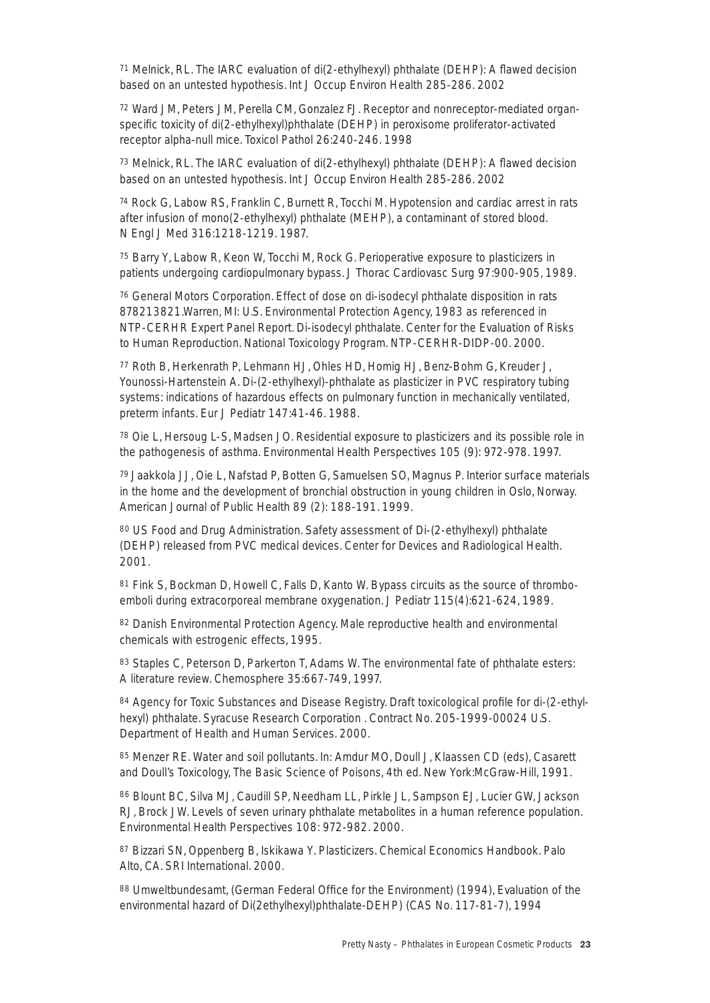<sup>71</sup> Melnick, RL. The IARC evaluation of di(2-ethylhexyl) phthalate (DEHP): A flawed decision based on an untested hypothesis. Int J Occup Environ Health 285-286. 2002

<sup>72</sup> Ward JM, Peters JM, Perella CM, Gonzalez FJ. Receptor and nonreceptor-mediated organspecific toxicity of di(2-ethylhexyl)phthalate (DEHP) in peroxisome proliferator-activated receptor alpha-null mice. Toxicol Pathol 26:240-246. 1998

<sup>73</sup> Melnick, RL. The IARC evaluation of di(2-ethylhexyl) phthalate (DEHP): A flawed decision based on an untested hypothesis. Int J Occup Environ Health 285-286. 2002

<sup>74</sup> Rock G, Labow RS, Franklin C, Burnett R, Tocchi M. Hypotension and cardiac arrest in rats after infusion of mono(2-ethylhexyl) phthalate (MEHP), a contaminant of stored blood. N Engl J Med 316:1218-1219. 1987.

<sup>75</sup> Barry Y, Labow R, Keon W, Tocchi M, Rock G. Perioperative exposure to plasticizers in patients undergoing cardiopulmonary bypass. J Thorac Cardiovasc Surg 97:900-905, 1989.

<sup>76</sup> General Motors Corporation. Effect of dose on di-isodecyl phthalate disposition in rats 878213821.Warren, MI: U.S. Environmental Protection Agency, 1983 as referenced in NTP-CERHR Expert Panel Report. Di-isodecyl phthalate. Center for the Evaluation of Risks to Human Reproduction. National Toxicology Program. NTP-CERHR-DIDP-00. 2000.

<sup>77</sup> Roth B, Herkenrath P, Lehmann HJ, Ohles HD, Homig HJ, Benz-Bohm G, Kreuder J, Younossi-Hartenstein A. Di-(2-ethylhexyl)-phthalate as plasticizer in PVC respiratory tubing systems: indications of hazardous effects on pulmonary function in mechanically ventilated, preterm infants. Eur J Pediatr 147:41-46. 1988.

<sup>78</sup> Oie L, Hersoug L-S, Madsen JO. Residential exposure to plasticizers and its possible role in the pathogenesis of asthma. Environmental Health Perspectives 105 (9): 972-978. 1997.

79 Jaakkola JJ, Oie L, Nafstad P, Botten G, Samuelsen SO, Magnus P. Interior surface materials in the home and the development of bronchial obstruction in young children in Oslo, Norway. American Journal of Public Health 89 (2): 188-191. 1999.

<sup>80</sup> US Food and Drug Administration. Safety assessment of Di-(2-ethylhexyl) phthalate (DEHP) released from PVC medical devices. Center for Devices and Radiological Health. 2001.

<sup>81</sup> Fink S, Bockman D, Howell C, Falls D, Kanto W. Bypass circuits as the source of thromboemboli during extracorporeal membrane oxygenation. J Pediatr 115(4):621-624, 1989.

<sup>82</sup> Danish Environmental Protection Agency. Male reproductive health and environmental chemicals with estrogenic effects, 1995.

83 Staples C, Peterson D, Parkerton T, Adams W. The environmental fate of phthalate esters: A literature review. Chemosphere 35:667-749, 1997.

<sup>84</sup> Agency for Toxic Substances and Disease Registry. Draft toxicological profile for di-(2-ethylhexyl) phthalate. Syracuse Research Corporation . Contract No. 205-1999-00024 U.S. Department of Health and Human Services. 2000.

<sup>85</sup> Menzer RE. Water and soil pollutants. In: Amdur MO, Doull J, Klaassen CD (eds), Casarett and Doull's Toxicology, The Basic Science of Poisons, 4th ed. New York:McGraw-Hill, 1991.

<sup>86</sup> Blount BC, Silva MJ, Caudill SP, Needham LL, Pirkle JL, Sampson EJ, Lucier GW, Jackson RJ, Brock JW. Levels of seven urinary phthalate metabolites in a human reference population. Environmental Health Perspectives 108: 972-982. 2000.

<sup>87</sup> Bizzari SN, Oppenberg B, Iskikawa Y. Plasticizers. Chemical Economics Handbook. Palo Alto, CA. SRI International. 2000.

88 Umweltbundesamt, (German Federal Office for the Environment) (1994), Evaluation of the environmental hazard of Di(2ethylhexyl)phthalate-DEHP) (CAS No. 117-81-7), 1994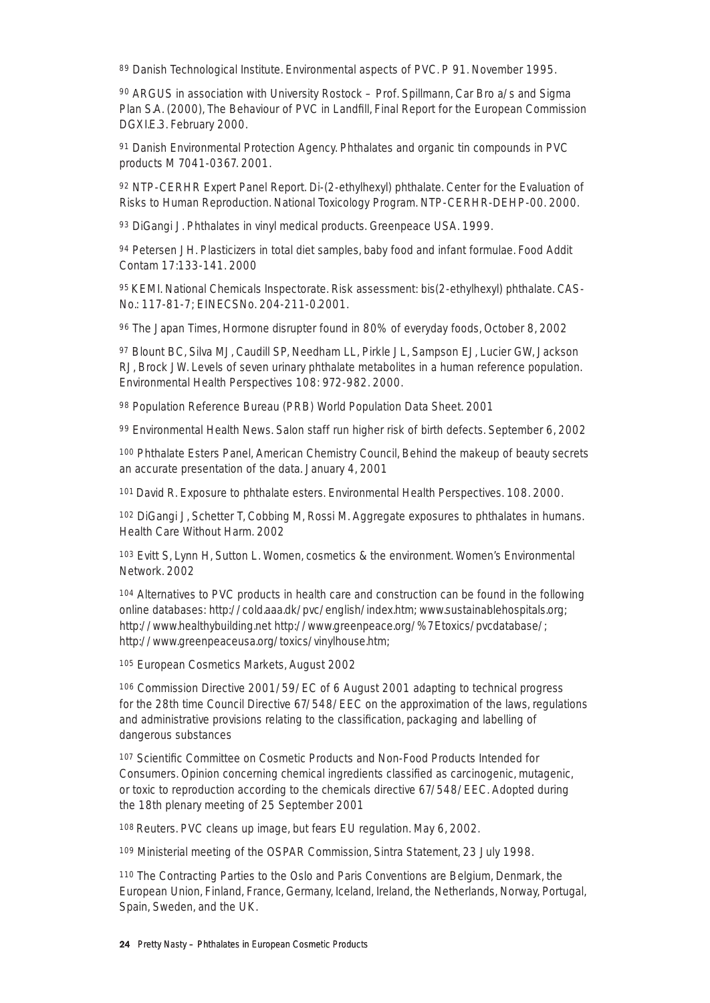89 Danish Technological Institute. Environmental aspects of PVC. P 91. November 1995.

<sup>90</sup> ARGUS in association with University Rostock – Prof. Spillmann, Car Bro a/s and Sigma Plan S.A. (2000), The Behaviour of PVC in Landfill, Final Report for the European Commission DGXI.E.3. February 2000.

<sup>91</sup> Danish Environmental Protection Agency. Phthalates and organic tin compounds in PVC products M 7041-0367. 2001.

<sup>92</sup> NTP-CERHR Expert Panel Report. Di-(2-ethylhexyl) phthalate. Center for the Evaluation of Risks to Human Reproduction. National Toxicology Program. NTP-CERHR-DEHP-00. 2000.

93 DiGangi J. Phthalates in vinyl medical products. Greenpeace USA. 1999.

<sup>94</sup> Petersen JH. Plasticizers in total diet samples, baby food and infant formulae. Food Addit Contam 17:133-141. 2000

95 KEMI. National Chemicals Inspectorate. Risk assessment: bis(2-ethylhexyl) phthalate. CAS-No.: 117-81-7; EINECSNo. 204-211-0.2001.

<sup>96</sup> The Japan Times, Hormone disrupter found in 80% of everyday foods, October 8, 2002

<sup>97</sup> Blount BC, Silva MJ, Caudill SP, Needham LL, Pirkle JL, Sampson EJ, Lucier GW, Jackson RJ, Brock JW. Levels of seven urinary phthalate metabolites in a human reference population. Environmental Health Perspectives 108: 972-982. 2000.

<sup>98</sup> Population Reference Bureau (PRB) World Population Data Sheet. 2001

<sup>99</sup> Environmental Health News. Salon staff run higher risk of birth defects. September 6, 2002

<sup>100</sup> Phthalate Esters Panel, American Chemistry Council, Behind the makeup of beauty secrets an accurate presentation of the data. January 4, 2001

101 David R. Exposure to phthalate esters. Environmental Health Perspectives. 108. 2000.

<sup>102</sup> DiGangi J, Schetter T, Cobbing M, Rossi M. Aggregate exposures to phthalates in humans. Health Care Without Harm. 2002

<sup>103</sup> Evitt S, Lynn H, Sutton L. Women, cosmetics & the environment. Women's Environmental Network. 2002

<sup>104</sup> Alternatives to PVC products in health care and construction can be found in the following online databases: http://cold.aaa.dk/pvc/english/index.htm; www.sustainablehospitals.org; http://www.healthybuilding.net http://www.greenpeace.org/%7Etoxics/pvcdatabase/; http://www.greenpeaceusa.org/toxics/vinylhouse.htm;

<sup>105</sup> European Cosmetics Markets, August 2002

<sup>106</sup> Commission Directive 2001/59/EC of 6 August 2001 adapting to technical progress for the 28th time Council Directive 67/548/EEC on the approximation of the laws, regulations and administrative provisions relating to the classification, packaging and labelling of dangerous substances

<sup>107</sup> Scientific Committee on Cosmetic Products and Non-Food Products Intended for Consumers. Opinion concerning chemical ingredients classified as carcinogenic, mutagenic, or toxic to reproduction according to the chemicals directive 67/548/EEC. Adopted during the 18th plenary meeting of 25 September 2001

108 Reuters. PVC cleans up image, but fears EU regulation. May 6, 2002.

<sup>109</sup> Ministerial meeting of the OSPAR Commission, Sintra Statement, 23 July 1998.

<sup>110</sup> The Contracting Parties to the Oslo and Paris Conventions are Belgium, Denmark, the European Union, Finland, France, Germany, Iceland, Ireland, the Netherlands, Norway, Portugal, Spain, Sweden, and the UK.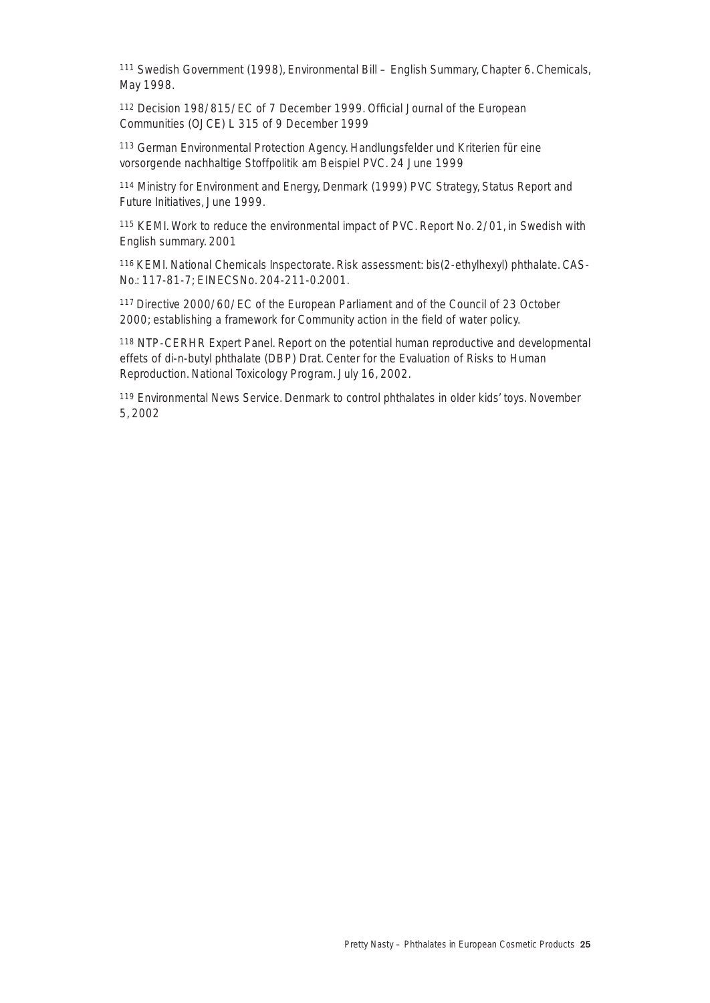<sup>111</sup> Swedish Government (1998), Environmental Bill – English Summary, Chapter 6. Chemicals, May 1998.

<sup>112</sup> Decision 198/815/EC of 7 December 1999. Official Journal of the European Communities (OJCE) L 315 of 9 December 1999

<sup>113</sup> German Environmental Protection Agency. Handlungsfelder und Kriterien für eine vorsorgende nachhaltige Stoffpolitik am Beispiel PVC. 24 June 1999

<sup>114</sup> Ministry for Environment and Energy, Denmark (1999) PVC Strategy, Status Report and Future Initiatives, June 1999.

<sup>115</sup> KEMI. Work to reduce the environmental impact of PVC. Report No. 2/01, in Swedish with English summary. 2001

116 KEMI. National Chemicals Inspectorate. Risk assessment: bis(2-ethylhexyl) phthalate. CAS-No.: 117-81-7; EINECSNo. 204-211-0.2001.

117 Directive 2000/60/EC of the European Parliament and of the Council of 23 October 2000; establishing a framework for Community action in the field of water policy.

<sup>118</sup> NTP-CERHR Expert Panel. Report on the potential human reproductive and developmental effets of di-n-butyl phthalate (DBP) Drat. Center for the Evaluation of Risks to Human Reproduction. National Toxicology Program. July 16, 2002.

<sup>119</sup> Environmental News Service. Denmark to control phthalates in older kids' toys. November 5, 2002